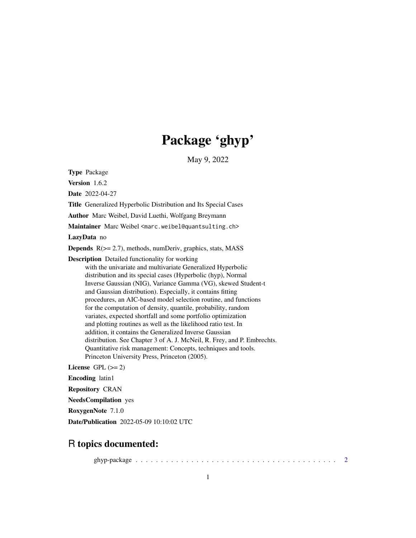# Package 'ghyp'

May 9, 2022

<span id="page-0-0"></span>Type Package

Version 1.6.2

Date 2022-04-27

Title Generalized Hyperbolic Distribution and Its Special Cases

Author Marc Weibel, David Luethi, Wolfgang Breymann

Maintainer Marc Weibel <marc.weibel@quantsulting.ch>

LazyData no

**Depends**  $R$ ( $> = 2.7$ ), methods, numDeriv, graphics, stats, MASS

Description Detailed functionality for working with the univariate and multivariate Generalized Hyperbolic distribution and its special cases (Hyperbolic (hyp), Normal Inverse Gaussian (NIG), Variance Gamma (VG), skewed Student-t and Gaussian distribution). Especially, it contains fitting procedures, an AIC-based model selection routine, and functions for the computation of density, quantile, probability, random variates, expected shortfall and some portfolio optimization and plotting routines as well as the likelihood ratio test. In addition, it contains the Generalized Inverse Gaussian distribution. See Chapter 3 of A. J. McNeil, R. Frey, and P. Embrechts. Quantitative risk management: Concepts, techniques and tools. Princeton University Press, Princeton (2005).

License GPL  $(>= 2)$ 

Encoding latin1

Repository CRAN

NeedsCompilation yes

RoxygenNote 7.1.0

Date/Publication 2022-05-09 10:10:02 UTC

# R topics documented:

ghyp-package . . . . . . . . . . . . . . . . . . . . . . . . . . . . . . . . . . . . . . . . [2](#page-1-0)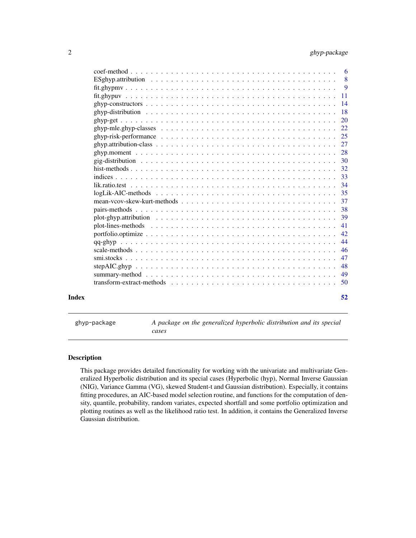<span id="page-1-0"></span>

| 52  |
|-----|
|     |
| 49  |
| 48  |
| 47  |
| 46  |
| 44  |
| 42  |
| 41  |
| 39  |
|     |
| 37  |
|     |
| -34 |
|     |
|     |
|     |
|     |
|     |
|     |
|     |
|     |
|     |
|     |
|     |
|     |
|     |
|     |
|     |

ghyp-package *A package on the generalized hyperbolic distribution and its special cases*

# Description

This package provides detailed functionality for working with the univariate and multivariate Generalized Hyperbolic distribution and its special cases (Hyperbolic (hyp), Normal Inverse Gaussian (NIG), Variance Gamma (VG), skewed Student-t and Gaussian distribution). Especially, it contains fitting procedures, an AIC-based model selection routine, and functions for the computation of density, quantile, probability, random variates, expected shortfall and some portfolio optimization and plotting routines as well as the likelihood ratio test. In addition, it contains the Generalized Inverse Gaussian distribution.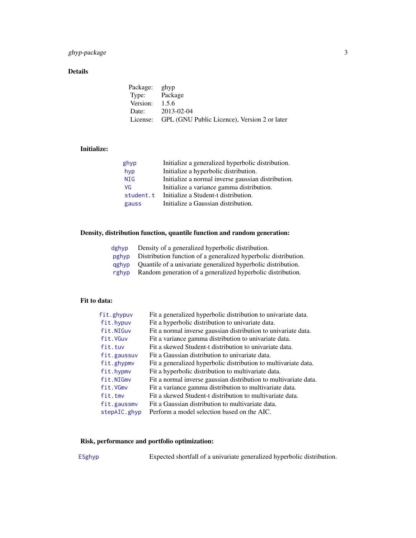# <span id="page-2-0"></span>ghyp-package 3

# Details

| Package: ghyp    |                                                       |
|------------------|-------------------------------------------------------|
| Type: Package    |                                                       |
| Version: $1.5.6$ |                                                       |
|                  | Date: 2013-02-04                                      |
|                  | License: GPL (GNU Public Licence), Version 2 or later |

# Initialize:

| ghyp       | Initialize a generalized hyperbolic distribution.  |
|------------|----------------------------------------------------|
| hyp        | Initialize a hyperbolic distribution.              |
| <b>NIG</b> | Initialize a normal inverse gaussian distribution. |
| VG         | Initialize a variance gamma distribution.          |
| student.t  | Initialize a Student-t distribution.               |
| gauss      | Initialize a Gaussian distribution.                |

# Density, distribution function, quantile function and random generation:

| dghvp | Density of a generalized hyperbolic distribution.                   |
|-------|---------------------------------------------------------------------|
| pghyp | Distribution function of a generalized hyperbolic distribution.     |
|       | gghyp Ouantile of a univariate generalized hyperbolic distribution. |
| rghyp | Random generation of a generalized hyperbolic distribution.         |

# Fit to data:

| fit.ghypuv   | Fit a generalized hyperbolic distribution to univariate data.    |
|--------------|------------------------------------------------------------------|
| fit.hypuv    | Fit a hyperbolic distribution to univariate data.                |
| fit.NIGuv    | Fit a normal inverse gaussian distribution to univariate data.   |
| fit.VGuv     | Fit a variance gamma distribution to univariate data.            |
| fit.tuv      | Fit a skewed Student-t distribution to univariate data.          |
| fit.gaussuv  | Fit a Gaussian distribution to univariate data.                  |
| fit.ghypmv   | Fit a generalized hyperbolic distribution to multivariate data.  |
| fit.hypmv    | Fit a hyperbolic distribution to multivariate data.              |
| fit.NIGmv    | Fit a normal inverse gaussian distribution to multivariate data. |
| fit.VGmv     | Fit a variance gamma distribution to multivariate data.          |
| fit.tmv      | Fit a skewed Student-t distribution to multivariate data.        |
| fit.gaussmv  | Fit a Gaussian distribution to multivariate data.                |
| stepAIC.ghyp | Perform a model selection based on the AIC.                      |
|              |                                                                  |

# Risk, performance and portfolio optimization:

[ESghyp](#page-24-1) Expected shortfall of a univariate generalized hyperbolic distribution.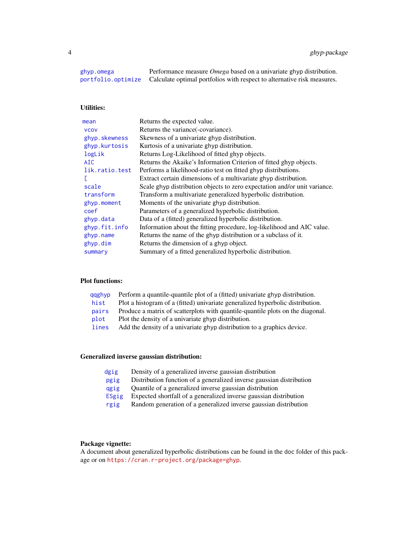<span id="page-3-0"></span>[ghyp.omega](#page-24-1) Performance measure *Omega* based on a univariate ghyp distribution. [portfolio.optimize](#page-41-1) Calculate optimal portfolios with respect to alternative risk measures.

# Utilities:

| mean            | Returns the expected value.                                               |
|-----------------|---------------------------------------------------------------------------|
| <b>VCOV</b>     | Returns the variance (-covariance).                                       |
| ghyp.skewness   | Skewness of a univariate ghyp distribution.                               |
| ghyp.kurtosis   | Kurtosis of a univariate ghyp distribution.                               |
| logLik          | Returns Log-Likelihood of fitted ghyp objects.                            |
| A <sub>IC</sub> | Returns the Akaike's Information Criterion of fitted ghyp objects.        |
| lik.ratio.test  | Performs a likelihood-ratio test on fitted ghyp distributions.            |
|                 | Extract certain dimensions of a multivariate ghyp distribution.           |
| scale           | Scale ghyp distribution objects to zero expectation and/or unit variance. |
| transform       | Transform a multivariate generalized hyperbolic distribution.             |
| ghyp.moment     | Moments of the univariate ghyp distribution.                              |
| coef            | Parameters of a generalized hyperbolic distribution.                      |
| ghyp.data       | Data of a (fitted) generalized hyperbolic distribution.                   |
| ghyp.fit.info   | Information about the fitting procedure, log-likelihood and AIC value.    |
| ghyp.name       | Returns the name of the ghyp distribution or a subclass of it.            |
| ghyp.dim        | Returns the dimension of a ghyp object.                                   |
| summary         | Summary of a fitted generalized hyperbolic distribution.                  |
|                 |                                                                           |

# Plot functions:

| Perform a quantile-quantile plot of a (fitted) univariate ghyp distribution.   |
|--------------------------------------------------------------------------------|
| Plot a histogram of a (fitted) univariate generalized hyperbolic distribution. |
| Produce a matrix of scatterplots with quantile-quantile plots on the diagonal. |
| Plot the density of a univariate ghyp distribution.                            |
| Add the density of a univariate ghyp distribution to a graphics device.        |
|                                                                                |

# Generalized inverse gaussian distribution:

| Density of a generalized inverse gaussian distribution               |
|----------------------------------------------------------------------|
| Distribution function of a generalized inverse gaussian distribution |
| Quantile of a generalized inverse gaussian distribution              |
| Expected shortfall of a generalized inverse gaussian distribution    |
| Random generation of a generalized inverse gaussian distribution     |
|                                                                      |

# Package vignette:

A document about generalized hyperbolic distributions can be found in the doc folder of this package or on <https://cran.r-project.org/package=ghyp>.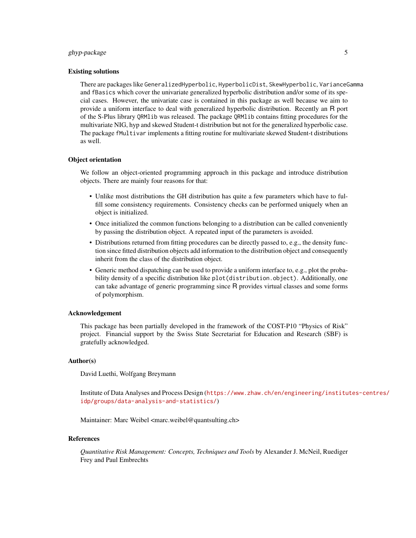# ghyp-package 5

#### Existing solutions

There are packages like GeneralizedHyperbolic, HyperbolicDist, SkewHyperbolic, VarianceGamma and fBasics which cover the univariate generalized hyperbolic distribution and/or some of its special cases. However, the univariate case is contained in this package as well because we aim to provide a uniform interface to deal with generalized hyperbolic distribution. Recently an R port of the S-Plus library QRMlib was released. The package QRMlib contains fitting procedures for the multivariate NIG, hyp and skewed Student-t distribution but not for the generalized hyperbolic case. The package fMultivar implements a fitting routine for multivariate skewed Student-t distributions as well.

#### Object orientation

We follow an object-oriented programming approach in this package and introduce distribution objects. There are mainly four reasons for that:

- Unlike most distributions the GH distribution has quite a few parameters which have to fulfill some consistency requirements. Consistency checks can be performed uniquely when an object is initialized.
- Once initialized the common functions belonging to a distribution can be called conveniently by passing the distribution object. A repeated input of the parameters is avoided.
- Distributions returned from fitting procedures can be directly passed to, e.g., the density function since fitted distribution objects add information to the distribution object and consequently inherit from the class of the distribution object.
- Generic method dispatching can be used to provide a uniform interface to, e.g., plot the probability density of a specific distribution like plot(distribution.object). Additionally, one can take advantage of generic programming since R provides virtual classes and some forms of polymorphism.

#### Acknowledgement

This package has been partially developed in the framework of the COST-P10 "Physics of Risk" project. Financial support by the Swiss State Secretariat for Education and Research (SBF) is gratefully acknowledged.

#### Author(s)

David Luethi, Wolfgang Breymann

Institute of Data Analyses and Process Design ([https://www.zhaw.ch/en/engineering/institu](https://www.zhaw.ch/en/engineering/institutes-centres/idp/groups/data-analysis-and-statistics/)tes-centres/ [idp/groups/data-analysis-and-statistics/](https://www.zhaw.ch/en/engineering/institutes-centres/idp/groups/data-analysis-and-statistics/))

Maintainer: Marc Weibel <marc.weibel@quantsulting.ch>

#### References

*Quantitative Risk Management: Concepts, Techniques and Tools* by Alexander J. McNeil, Ruediger Frey and Paul Embrechts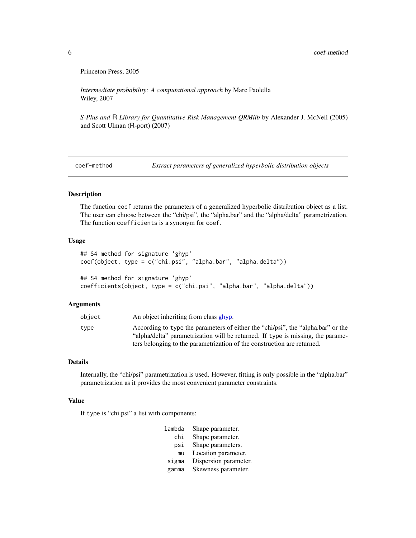Princeton Press, 2005

*Intermediate probability: A computational approach* by Marc Paolella Wiley, 2007

*S-Plus and* R *Library for Quantitative Risk Management QRMlib* by Alexander J. McNeil (2005) and Scott Ulman (R-port) (2007)

coef-method *Extract parameters of generalized hyperbolic distribution objects*

# <span id="page-5-1"></span>Description

The function coef returns the parameters of a generalized hyperbolic distribution object as a list. The user can choose between the "chi/psi", the "alpha.bar" and the "alpha/delta" parametrization. The function coefficients is a synonym for coef.

#### Usage

```
## S4 method for signature 'ghyp'
coef(object, type = c("chi.psi", "alpha.bar", "alpha.delta"))
## S4 method for signature 'ghyp'
```
# coefficients(object, type = c("chi.psi", "alpha.bar", "alpha.delta"))

#### Arguments

| object | An object inheriting from class ghyp.                                                                                                                               |
|--------|---------------------------------------------------------------------------------------------------------------------------------------------------------------------|
| tvpe   | According to type the parameters of either the "chi/psi", the "alpha.bar" or the<br>"alpha/delta" parametrization will be returned. If type is missing, the parame- |
|        | ters belonging to the parametrization of the construction are returned.                                                                                             |

# Details

Internally, the "chi/psi" parametrization is used. However, fitting is only possible in the "alpha.bar" parametrization as it provides the most convenient parameter constraints.

## Value

If type is "chi.psi" a list with components:

| lambda | Shape parameter.      |
|--------|-----------------------|
| chi    | Shape parameter.      |
| psi    | Shape parameters.     |
| mu     | Location parameter.   |
| sigma  | Dispersion parameter. |
| gamma  | Skewness parameter.   |

<span id="page-5-0"></span>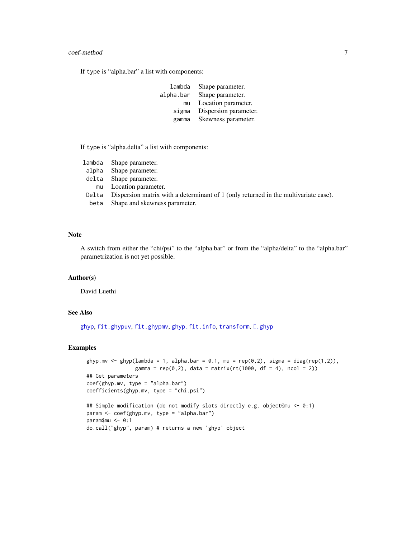#### <span id="page-6-0"></span>coef-method 7

If type is "alpha.bar" a list with components:

| lambda    | Shape parameter.      |
|-----------|-----------------------|
| alpha.bar | Shape parameter.      |
| mu        | Location parameter.   |
| sigma     | Dispersion parameter. |
| gamma     | Skewness parameter.   |
|           |                       |

If type is "alpha.delta" a list with components:

| lambda | Shape parameter.                                                                    |
|--------|-------------------------------------------------------------------------------------|
| alpha  | Shape parameter.                                                                    |
| delta  | Shape parameter.                                                                    |
| mu     | Location parameter.                                                                 |
| Delta  | Dispersion matrix with a determinant of 1 (only returned in the multivariate case). |
| beta   | Shape and skewness parameter.                                                       |
|        |                                                                                     |

# Note

A switch from either the "chi/psi" to the "alpha.bar" or from the "alpha/delta" to the "alpha.bar" parametrization is not yet possible.

# Author(s)

David Luethi

# See Also

[ghyp](#page-13-1), [fit.ghypuv](#page-10-1), [fit.ghypmv](#page-8-1), [ghyp.fit.info](#page-19-1), [transform](#page-49-1), [\[.ghyp](#page-49-1)

# Examples

```
ghyp.mv <- ghyp(lambda = 1, alpha.bar = 0.1, mu = rep(0,2), sigma = diag(rep(1,2)),
               gamma = rep(0,2), data = matrix(rt(1000, df = 4), ncol = 2))
## Get parameters
coef(ghyp.mv, type = "alpha.bar")
coefficients(ghyp.mv, type = "chi.psi")
## Simple modification (do not modify slots directly e.g. object@mu <- 0:1)
param <- coef(ghyp.mv, type = "alpha.bar")
param$mu <- 0:1
do.call("ghyp", param) # returns a new 'ghyp' object
```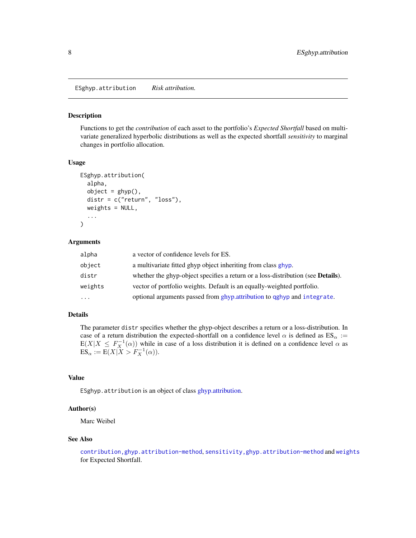<span id="page-7-1"></span><span id="page-7-0"></span>ESghyp.attribution *Risk attribution.*

# Description

Functions to get the *contribution* of each asset to the portfolio's *Expected Shortfall* based on multivariate generalized hyperbolic distributions as well as the expected shortfall *sensitivity* to marginal changes in portfolio allocation.

#### Usage

```
ESghyp.attribution(
  alpha,
  object = ghyp(),
  distr = c("return", "loss"),
  weights = NULL,...
```
# )

#### Arguments

| alpha     | a vector of confidence levels for ES.                                                    |
|-----------|------------------------------------------------------------------------------------------|
| object    | a multivariate fitted ghyp object inheriting from class ghyp.                            |
| distr     | whether the ghyp-object specifies a return or a loss-distribution (see <b>Details</b> ). |
| weights   | vector of portfolio weights. Default is an equally-weighted portfolio.                   |
| $\ddotsc$ | optional arguments passed from ghyp. attribution to qghyp and integrate.                 |

# Details

The parameter distr specifies whether the ghyp-object describes a return or a loss-distribution. In case of a return distribution the expected-shortfall on a confidence level  $\alpha$  is defined as  $ES_{\alpha}$  :=  $E(X|X \le F_X^{-1}(\alpha))$  while in case of a loss distribution it is defined on a confidence level  $\alpha$  as  $ES_{\alpha} := E(X|X > F_X^{-1}(\alpha)).$ 

# Value

ESghyp.attribution is an object of class [ghyp.attribution.](#page-26-1)

### Author(s)

Marc Weibel

# See Also

[contribution,ghyp.attribution-method](#page-0-0), [sensitivity,ghyp.attribution-method](#page-0-0) and [weights](#page-0-0) for Expected Shortfall.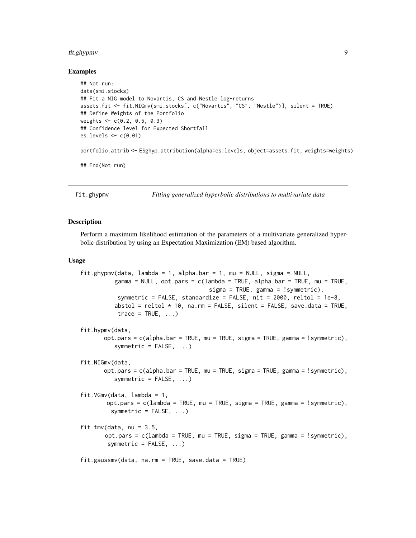#### <span id="page-8-0"></span>fit.ghypmv 9

#### Examples

```
## Not run:
data(smi.stocks)
## Fit a NIG model to Novartis, CS and Nestle log-returns
assets.fit <- fit.NIGmv(smi.stocks[, c("Novartis", "CS", "Nestle")], silent = TRUE)
## Define Weights of the Portfolio
weights <- c(0.2, 0.5, 0.3)
## Confidence level for Expected Shortfall
es.levels <- c(0.01)
portfolio.attrib <- ESghyp.attribution(alpha=es.levels, object=assets.fit, weights=weights)
## End(Not run)
```
<span id="page-8-1"></span>fit.ghypmv *Fitting generalized hyperbolic distributions to multivariate data*

#### <span id="page-8-2"></span>Description

Perform a maximum likelihood estimation of the parameters of a multivariate generalized hyperbolic distribution by using an Expectation Maximization (EM) based algorithm.

# Usage

```
fit.ghypmv(data, lambda = 1, alpha.bar = 1, mu = NULL, sigma = NULL,
          gamma = NULL, opt.pars = c(lambda = TRUE, alpha.bar = TRUE, mu = TRUE,
                                      sigma = TRUE, gamma = !symmetric),
           symmetric = FALSE, standardize = FALSE, nit = 2000, reltol = 1e-8.
          abstol = reltol * 10, na.rm = FALSE, silent = FALSE, save.data = TRUE,
           trace = TRUE, ...)
fit.hypmv(data,
       opt.pars = c(alpha.bar = TRUE, mu = TRUE, sigma = TRUE, gamma = !symmetric),
          symmetric = FALSE, ...)fit.NIGmv(data,
       opt.pars = c(alpha.bar = TRUE, mu = TRUE, sigma = TRUE, gamma = !symmetric),
          symmetric = FALSE, ...)fit.VGmv(data, lambda = 1,
        opt.pars = c(lambda = TRUE, mu = TRUE, sigma = TRUE, gamma = !symmetric),
         symmetric = FALSE, ...)fit.tmv(data, nu = 3.5,opt.pars = c(1)ambda = TRUE, mu = TRUE, sigma = TRUE, gamma = !symmetric),
        symmetric = FALSE, ...)
fit.gaussmv(data, na.rm = TRUE, save.data = TRUE)
```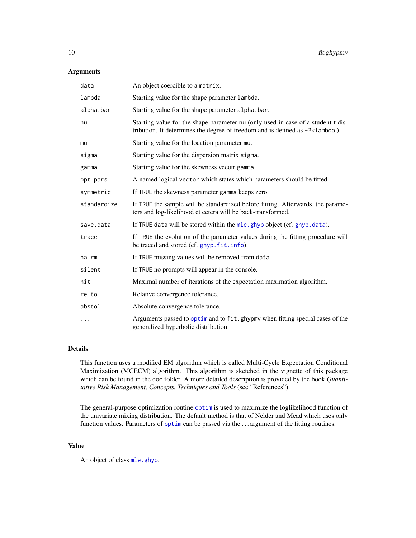# <span id="page-9-0"></span>Arguments

| data        | An object coercible to a matrix.                                                                                                                                           |
|-------------|----------------------------------------------------------------------------------------------------------------------------------------------------------------------------|
| lambda      | Starting value for the shape parameter lambda.                                                                                                                             |
| alpha.bar   | Starting value for the shape parameter alpha.bar.                                                                                                                          |
| nu          | Starting value for the shape parameter nu (only used in case of a student-t dis-<br>tribution. It determines the degree of freedom and is defined as $-2 \times 1$ ambda.) |
| mu          | Starting value for the location parameter mu.                                                                                                                              |
| sigma       | Starting value for the dispersion matrix sigma.                                                                                                                            |
| gamma       | Starting value for the skewness vecotr gamma.                                                                                                                              |
| opt.pars    | A named logical vector which states which parameters should be fitted.                                                                                                     |
| symmetric   | If TRUE the skewness parameter gamma keeps zero.                                                                                                                           |
| standardize | If TRUE the sample will be standardized before fitting. Afterwards, the parame-<br>ters and log-likelihood et cetera will be back-transformed.                             |
| save.data   | If TRUE data will be stored within the mle.ghyp object (cf. ghyp.data).                                                                                                    |
| trace       | If TRUE the evolution of the parameter values during the fitting procedure will<br>be traced and stored (cf. ghyp.fit.info).                                               |
| na.rm       | If TRUE missing values will be removed from data.                                                                                                                          |
| silent      | If TRUE no prompts will appear in the console.                                                                                                                             |
| nit         | Maximal number of iterations of the expectation maximation algorithm.                                                                                                      |
| reltol      | Relative convergence tolerance.                                                                                                                                            |
| abstol      | Absolute convergence tolerance.                                                                                                                                            |
| .           | Arguments passed to optimize and to fit, ghypmy when fitting special cases of the<br>generalized hyperbolic distribution.                                                  |

# Details

This function uses a modified EM algorithm which is called Multi-Cycle Expectation Conditional Maximization (MCECM) algorithm. This algorithm is sketched in the vignette of this package which can be found in the doc folder. A more detailed description is provided by the book *Quantitative Risk Management, Concepts, Techniques and Tools* (see "References").

The general-purpose optimization routine [optim](#page-0-0) is used to maximize the loglikelihood function of the univariate mixing distribution. The default method is that of Nelder and Mead which uses only function values. Parameters of [optim](#page-0-0) can be passed via the . . . argument of the fitting routines.

# Value

An object of class [mle.ghyp](#page-21-1).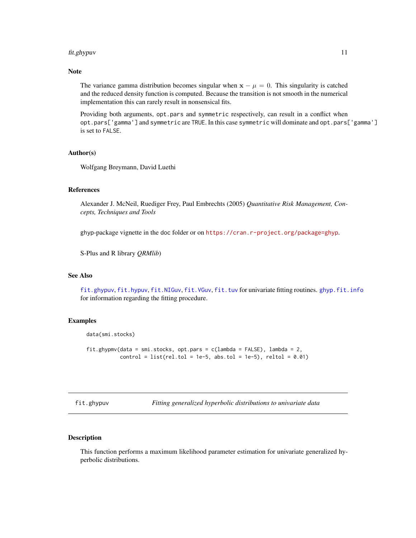#### <span id="page-10-0"></span>fit.ghypuv 11

# Note

The variance gamma distribution becomes singular when  $x - \mu = 0$ . This singularity is catched and the reduced density function is computed. Because the transition is not smooth in the numerical implementation this can rarely result in nonsensical fits.

Providing both arguments, opt.pars and symmetric respectively, can result in a conflict when opt.pars['gamma'] and symmetric are TRUE. In this case symmetric will dominate and opt.pars['gamma'] is set to FALSE.

# Author(s)

Wolfgang Breymann, David Luethi

#### References

Alexander J. McNeil, Ruediger Frey, Paul Embrechts (2005) *Quantitative Risk Management, Concepts, Techniques and Tools*

ghyp-package vignette in the doc folder or on <https://cran.r-project.org/package=ghyp>.

S-Plus and R library *QRMlib*)

# See Also

[fit.ghypuv](#page-10-1), [fit.hypuv](#page-10-2), [fit.NIGuv](#page-10-2), [fit.VGuv](#page-10-2), [fit.tuv](#page-10-2) for univariate fitting routines. [ghyp.fit.info](#page-19-1) for information regarding the fitting procedure.

#### Examples

```
data(smi.stocks)
```
fit.ghypmv(data = smi.stocks, opt.pars =  $c($ lambda = FALSE), lambda = 2,  $control = list(rel.tol = 1e-5, abs.tol = 1e-5),$   $reltol = 0.01)$ 

<span id="page-10-1"></span>fit.ghypuv *Fitting generalized hyperbolic distributions to univariate data*

# <span id="page-10-2"></span>Description

This function performs a maximum likelihood parameter estimation for univariate generalized hyperbolic distributions.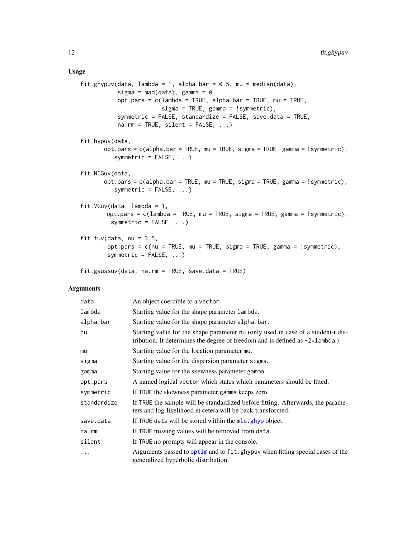# Usage

```
fit.ghypuv(data, lambda = 1, alpha.bar = 0.5, mu = median(data),
           sigma = mad(data), gamma = 0,
           opt.pars = c(lambda = TRUE, alpha.bar = TRUE, mu = TRUE,
                        sigma = TRUE, gamma = !symmetric),
           symmetric = FALSE, standardize = FALSE, save.data = TRUE,
          na.rm = TRUE, silent = FALSE, ...)fit.hypuv(data,
      opt.pars = c(alpha.bar = TRUE, mu = TRUE, sigma = TRUE, gamma = !symmetric),
          symmetric = FALSE, ...)
fit.NIGuv(data,
      opt.pars = c(alpha.bar = TRUE, mu = TRUE, sigma = TRUE, gamma = !symmetric),
          symmetric = FALSE, ...)fit.VGuv(data, lambda = 1,
       opt.pars = c(lambda = TRUE, mu = TRUE, sigma = TRUE, gamma = !symmetric),
         symmetric = FALSE, ...)fit.tuv(data, nu = 3.5,
        opt.pars = c(nu = TRUE, mu = TRUE, sigma = TRUE, gamma = !symmetric),
        symmetric = FALSE, ...)
```

```
fit.gaussuv(data, na.rm = TRUE, save.data = TRUE)
```
#### Arguments

| data        | An object coercible to a vector.                                                                                                                                    |
|-------------|---------------------------------------------------------------------------------------------------------------------------------------------------------------------|
| lambda      | Starting value for the shape parameter lambda.                                                                                                                      |
| alpha.bar   | Starting value for the shape parameter alpha.bar.                                                                                                                   |
| nu          | Starting value for the shape parameter nu (only used in case of a student-t dis-<br>tribution. It determines the degree of freedom and is defined as $-2*1$ ambda.) |
| mu          | Starting value for the location parameter mu.                                                                                                                       |
| sigma       | Starting value for the dispersion parameter sigma.                                                                                                                  |
| gamma       | Starting value for the skewness parameter gamma.                                                                                                                    |
| opt.pars    | A named logical vector which states which parameters should be fitted.                                                                                              |
| symmetric   | If TRUE the skewness parameter gamma keeps zero.                                                                                                                    |
| standardize | If TRUE the sample will be standardized before fitting. Afterwards, the parame-<br>ters and log-likelihood et cetera will be back-transformed.                      |
| save.data   | If TRUE data will be stored within the mle. ghyp object.                                                                                                            |
| na.rm       | If TRUE missing values will be removed from data.                                                                                                                   |
| silent      | If TRUE no prompts will appear in the console.                                                                                                                      |
| .           | Arguments passed to optimize and to fit, ghypuv when fitting special cases of the<br>generalized hyperbolic distribution.                                           |

<span id="page-11-0"></span>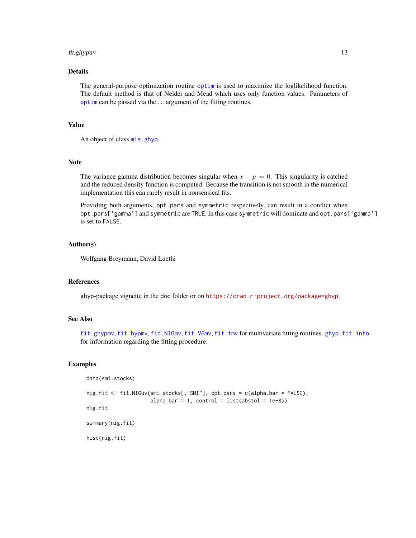#### <span id="page-12-0"></span>fit.ghypuv 13

# Details

The general-purpose optimization routine [optim](#page-0-0) is used to maximize the loglikelihood function. The default method is that of Nelder and Mead which uses only function values. Parameters of [optim](#page-0-0) can be passed via the . . . argument of the fitting routines.

# Value

An object of class [mle.ghyp](#page-21-1).

# Note

The variance gamma distribution becomes singular when  $x - \mu = 0$ . This singularity is catched and the reduced density function is computed. Because the transition is not smooth in the numerical implementation this can rarely result in nonsensical fits.

Providing both arguments, opt.pars and symmetric respectively, can result in a conflict when opt.pars['gamma'] and symmetric are TRUE. In this case symmetric will dominate and opt.pars['gamma'] is set to FALSE.

### Author(s)

Wolfgang Breymann, David Luethi

#### References

ghyp-package vignette in the doc folder or on <https://cran.r-project.org/package=ghyp>.

# See Also

[fit.ghypmv](#page-8-1), [fit.hypmv](#page-8-2), [fit.NIGmv](#page-8-2), [fit.VGmv](#page-8-2), [fit.tmv](#page-8-2) for multivariate fitting routines. [ghyp.fit.info](#page-19-1) for information regarding the fitting procedure.

#### Examples

```
data(smi.stocks)
```

```
nig.fit <- fit.NIGuv(smi.stocks[,"SMI"], opt.pars = c(alpha.bar = FALSE),
                     alpha.bar = 1, control = list(abstol = 1e-8))
nig.fit
summary(nig.fit)
hist(nig.fit)
```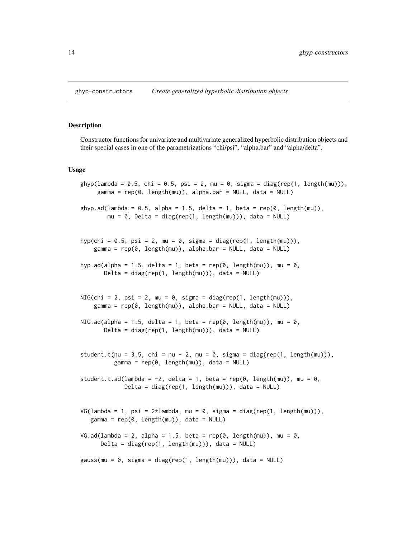#### <span id="page-13-1"></span><span id="page-13-0"></span>Description

Constructor functions for univariate and multivariate generalized hyperbolic distribution objects and their special cases in one of the parametrizations "chi/psi", "alpha.bar" and "alpha/delta".

#### Usage

```
ghyp(lambda = 0.5, chi = 0.5, psi = 2, mu = 0, sigma = diag(rep(1, length(mu))),gamma = rep(0, length(mu)), alpha.bar = NULL, data = NULL)ghyp.ad(lambda = 0.5, alpha = 1.5, delta = 1, beta = rep(0, length(mu)),
        mu = 0, Delta = diag(rep(1, length(mu))), data = NULL)
hyp(chi = 0.5, psi = 2, mu = 0, sigma = diag(rep(1, length(mu))),
    gamma = rep(0, length(mu)), alpha.bar = NULL, data = NULL)
hyp.ad(alpha = 1.5, delta = 1, beta = rep(0, length(mu)), mu = 0,
      Delta = diag(rep(1, length(mu))), data = NULL)
NIG(chi = 2, psi = 2, mu = 0, sigma = diag(rep(1, length(mu))),gamma = rep(0, length(mu)), alpha.bar = NULL, data = NULL)
NIG.ad(alpha = 1.5, delta = 1, beta = rep(\emptyset, length(mu)), mu = \emptyset,
      Delta = diag(rep(1, length(mu))), data = NULL)
student.t(nu = 3.5, chi = nu - 2, mu = 0, sigma = diag(rep(1, length(mu))),
          gamma = rep(0, length(mu)), data = NULL)
student.t.ad(lambda = -2, delta = 1, beta = rep(0, length(mu)), mu = 0,
             Delta = diag(rep(1, length(mu))), data = NULL)
VG(lambda = 1, psi = 2*lambda, mu = 0, sigma = diag(rep(1, length(mu))),
   gamma = rep(0, length(mu)), data = NULL)
VG.ad(lambda = 2, alpha = 1.5, beta = rep(0, length(mu)), mu = 0,
      Delta = diag(rep(1, length(mu))), data = NULL)
gauss(mu = 0, sigma = diag(rep(1, length(mu))), data = NULL)
```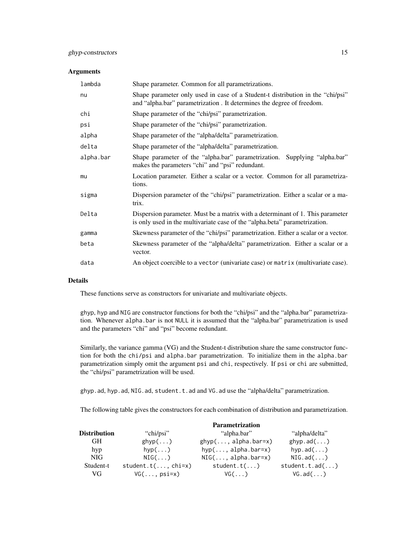#### **Arguments**

| lambda    | Shape parameter. Common for all parametrizations.                                                                                                            |
|-----------|--------------------------------------------------------------------------------------------------------------------------------------------------------------|
| nu        | Shape parameter only used in case of a Student-t distribution in the "chi/psi"<br>and "alpha.bar" parametrization. It determines the degree of freedom.      |
| chi       | Shape parameter of the "chi/psi" parametrization.                                                                                                            |
| psi       | Shape parameter of the "chi/psi" parametrization.                                                                                                            |
| alpha     | Shape parameter of the "alpha/delta" parametrization.                                                                                                        |
| delta     | Shape parameter of the "alpha/delta" parametrization.                                                                                                        |
| alpha.bar | Shape parameter of the "alpha.bar" parametrization. Supplying "alpha.bar"<br>makes the parameters "chi" and "psi" redundant.                                 |
| mu        | Location parameter. Either a scalar or a vector. Common for all parametriza-<br>tions.                                                                       |
| sigma     | Dispersion parameter of the "chi/psi" parametrization. Either a scalar or a ma-<br>trix.                                                                     |
| Delta     | Dispersion parameter. Must be a matrix with a determinant of 1. This parameter<br>is only used in the multivariate case of the "alpha.beta" parametrization. |
| gamma     | Skewness parameter of the "chi/psi" parametrization. Either a scalar or a vector.                                                                            |
| beta      | Skewness parameter of the "alpha/delta" parametrization. Either a scalar or a<br>vector.                                                                     |
| data      | An object coercible to a vector (univariate case) or matrix (multivariate case).                                                                             |

# Details

These functions serve as constructors for univariate and multivariate objects.

ghyp, hyp and NIG are constructor functions for both the "chi/psi" and the "alpha.bar" parametrization. Whenever alpha.bar is not NULL it is assumed that the "alpha.bar" parametrization is used and the parameters "chi" and "psi" become redundant.

Similarly, the variance gamma (VG) and the Student-t distribution share the same constructor function for both the chi/psi and alpha.bar parametrization. To initialize them in the alpha.bar parametrization simply omit the argument psi and chi, respectively. If psi or chi are submitted, the "chi/psi" parametrization will be used.

ghyp.ad, hyp.ad, NIG.ad, student.t.ad and VG.ad use the "alpha/delta" parametrization.

The following table gives the constructors for each combination of distribution and parametrization.

|                     |                      | <b>Parametrization</b>      |                   |
|---------------------|----------------------|-----------------------------|-------------------|
| <b>Distribution</b> | "chi/psi"            | "alpha.bar"                 | "alpha/delta"     |
| GH.                 | $ghyp$ $\ldots$ )    | $ghyp(, alpha.bar=x)$       | ghyp.add()        |
| hyp                 | $hyp(\ldots)$        | $hyp(, alpha.bar=x)$        | hvp.add()         |
| NIG <sup>-</sup>    | $NIG($ $)$           | $NIG(\ldots, alpha, bar=x)$ | $NIG.add(\ldots)$ |
| Student-t           | $student.t(, chi=x)$ | student.t()                 | student.t.add()   |
| VG                  | $VG(\ldots,psi)$     | $VG(\ldots)$                | $VG.add(\ldots)$  |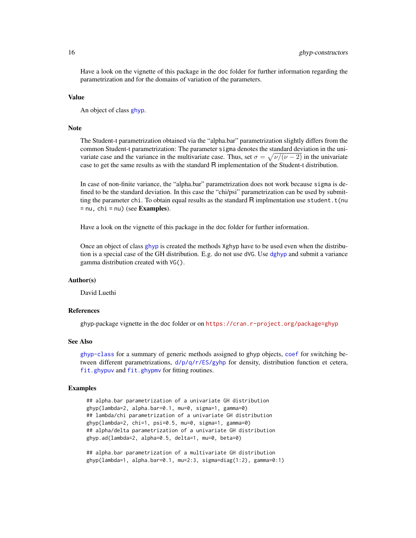<span id="page-15-0"></span>Have a look on the vignette of this package in the doc folder for further information regarding the parametrization and for the domains of variation of the parameters.

#### Value

An object of class [ghyp](#page-21-1).

# Note

The Student-t parametrization obtained via the "alpha.bar" parametrization slightly differs from the common Student-t parametrization: The parameter sigma denotes the standard deviation in the univariate case and the variance in the multivariate case. Thus, set  $\sigma = \sqrt{\nu/(\nu - 2)}$  in the univariate case to get the same results as with the standard R implementation of the Student-t distribution.

In case of non-finite variance, the "alpha.bar" parametrization does not work because sigma is defined to be the standard deviation. In this case the "chi/psi" parametrization can be used by submitting the parameter chi. To obtain equal results as the standard  $R$  implmentation use student.  $t(nu)$  $=$  nu, chi  $=$  nu) (see **Examples**).

Have a look on the vignette of this package in the doc folder for further information.

Once an object of class [ghyp](#page-21-1) is created the methods Xghyp have to be used even when the distribution is a special case of the GH distribution. E.g. do not use dVG. Use [dghyp](#page-17-1) and submit a variance gamma distribution created with VG().

#### Author(s)

David Luethi

#### References

ghyp-package vignette in the doc folder or on <https://cran.r-project.org/package=ghyp>

#### See Also

[ghyp-class](#page-21-1) for a summary of generic methods assigned to ghyp objects, [coef](#page-5-1) for switching between different parametrizations, [d/p/q/r/ES/gyhp](#page-17-1) for density, distribution function et cetera, [fit.ghypuv](#page-10-1) and [fit.ghypmv](#page-8-1) for fitting routines.

#### Examples

```
## alpha.bar parametrization of a univariate GH distribution
ghyp(lambda=2, alpha.bar=0.1, mu=0, sigma=1, gamma=0)
## lambda/chi parametrization of a univariate GH distribution
ghyp(lambda=2, chi=1, psi=0.5, mu=0, sigma=1, gamma=0)
## alpha/delta parametrization of a univariate GH distribution
ghyp.ad(lambda=2, alpha=0.5, delta=1, mu=0, beta=0)
```
## alpha.bar parametrization of a multivariate GH distribution ghyp(lambda=1, alpha.bar=0.1, mu=2:3, sigma=diag(1:2), gamma=0:1)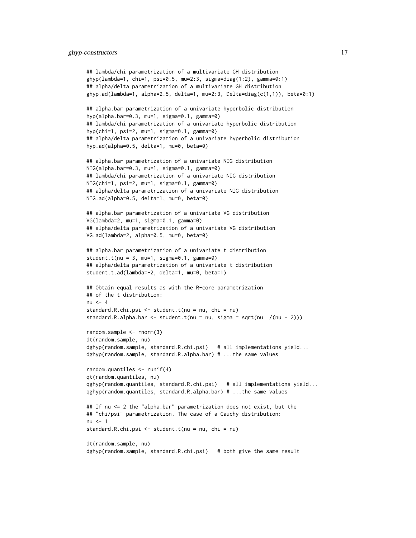# ghyp-constructors 17

```
## lambda/chi parametrization of a multivariate GH distribution
ghyp(lambda=1, chi=1, psi=0.5, mu=2:3, sigma=diag(1:2), gamma=0:1)## alpha/delta parametrization of a multivariate GH distribution
ghyp.ad(lambda=1, alpha=2.5, delta=1, mu=2:3, Delta=diag(c(1,1)), beta=0:1)
## alpha.bar parametrization of a univariate hyperbolic distribution
hyp(alpha.bar=0.3, mu=1, sigma=0.1, gamma=0)
## lambda/chi parametrization of a univariate hyperbolic distribution
hyp(chi=1, psi=2, mu=1, sigma=0.1, gamma=0)
## alpha/delta parametrization of a univariate hyperbolic distribution
hyp.ad(alpha=0.5, delta=1, mu=0, beta=0)
## alpha.bar parametrization of a univariate NIG distribution
NIG(alpha.bar=0.3, mu=1, sigma=0.1, gamma=0)
## lambda/chi parametrization of a univariate NIG distribution
NIG(chi=1, psi=2, mu=1, sigma=0.1, gamma=0)
## alpha/delta parametrization of a univariate NIG distribution
NIG.ad(alpha=0.5, delta=1, mu=0, beta=0)
## alpha.bar parametrization of a univariate VG distribution
VG(lambda=2, mu=1, sigma=0.1, gamma=0)
## alpha/delta parametrization of a univariate VG distribution
VG.ad(lambda=2, alpha=0.5, mu=0, beta=0)
## alpha.bar parametrization of a univariate t distribution
student.t(nu = 3, mu=1, sigma=0.1, gamma=0)
## alpha/delta parametrization of a univariate t distribution
student.t.ad(lambda=-2, delta=1, mu=0, beta=1)
## Obtain equal results as with the R-core parametrization
## of the t distribution:
n_{II} < -4standard.R.chi.psi <- student.t(nu = nu, chi = nu)
standard.R.alpha.bar \leq student.t(nu = nu, sigma = sqrt(nu /(nu - 2)))
random.sample <- rnorm(3)
dt(random.sample, nu)
dghyp(random.sample, standard.R.chi.psi) # all implementations yield...
dghyp(random.sample, standard.R.alpha.bar) # ...the same values
random.quantiles <- runif(4)
qt(random.quantiles, nu)
qghyp(random.quantiles, standard.R.chi.psi) # all implementations yield...
qghyp(random.quantiles, standard.R.alpha.bar) # ...the same values
## If nu <= 2 the "alpha.bar" parametrization does not exist, but the
## "chi/psi" parametrization. The case of a Cauchy distribution:
nu < -1standard.R.chi.psi <- student.t(nu = nu, chi = nu)
dt(random.sample, nu)
dghyp(random.sample, standard.R.chi.psi) # both give the same result
```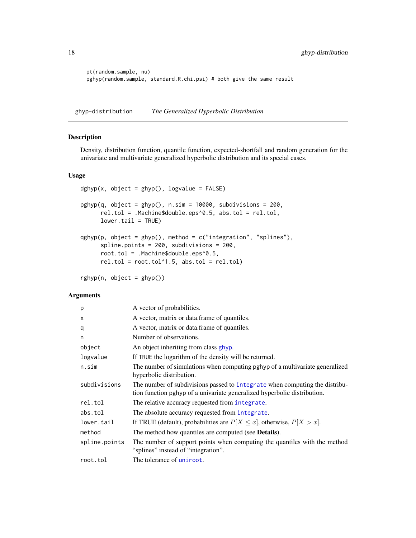```
pt(random.sample, nu)
pghyp(random.sample, standard.R.chi.psi) # both give the same result
```
ghyp-distribution *The Generalized Hyperbolic Distribution*

# <span id="page-17-1"></span>Description

Density, distribution function, quantile function, expected-shortfall and random generation for the univariate and multivariate generalized hyperbolic distribution and its special cases.

# Usage

```
dghyp(x, object = ghyp(), logvalue = FALSE)pghyp(q, object = ghyp(), n.sim = 10000, subdivisions = 200,rel.tol = .Machine$double.eps^0.5, abs.tol = rel.tol,
     lower.tail = TRUE)qghyp(p, object = ghyp(), method = c("integration", "splines"),spline.points = 200, subdivisions = 200,
     root.tol = .Machine$double.eps^0.5,
     rel.tol = root.tol^1.5, abs.tol = rel.tol)
```

```
rghyp(n, object = ghyp())
```
# Arguments

| p             | A vector of probabilities.                                                                                                                              |
|---------------|---------------------------------------------------------------------------------------------------------------------------------------------------------|
| X             | A vector, matrix or data frame of quantiles.                                                                                                            |
| q             | A vector, matrix or data frame of quantiles.                                                                                                            |
| n             | Number of observations.                                                                                                                                 |
| object        | An object inheriting from class ghyp.                                                                                                                   |
| logvalue      | If TRUE the logarithm of the density will be returned.                                                                                                  |
| n.sim         | The number of simulations when computing pghyp of a multivariate generalized<br>hyperbolic distribution.                                                |
| subdivisions  | The number of subdivisions passed to integrate when computing the distribu-<br>tion function pghyp of a univariate generalized hyperbolic distribution. |
| rel.tol       | The relative accuracy requested from integrate.                                                                                                         |
| abs.tol       | The absolute accuracy requested from integrate.                                                                                                         |
| lower.tail    | If TRUE (default), probabilities are $P[X \le x]$ , otherwise, $P[X > x]$ .                                                                             |
| method        | The method how quantiles are computed (see Details).                                                                                                    |
| spline.points | The number of support points when computing the quantiles with the method<br>"splines" instead of "integration".                                        |
| root.tol      | The tolerance of uniroot.                                                                                                                               |

<span id="page-17-0"></span>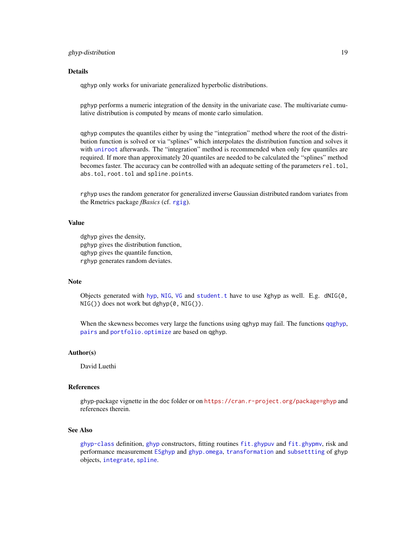# <span id="page-18-0"></span>ghyp-distribution 19

#### Details

qghyp only works for univariate generalized hyperbolic distributions.

pghyp performs a numeric integration of the density in the univariate case. The multivariate cumulative distribution is computed by means of monte carlo simulation.

qghyp computes the quantiles either by using the "integration" method where the root of the distribution function is solved or via "splines" which interpolates the distribution function and solves it with [uniroot](#page-0-0) afterwards. The "integration" method is recommended when only few quantiles are required. If more than approximately 20 quantiles are needed to be calculated the "splines" method becomes faster. The accuracy can be controlled with an adequate setting of the parameters rel.tol, abs.tol, root.tol and spline.points.

rghyp uses the random generator for generalized inverse Gaussian distributed random variates from the Rmetrics package *fBasics* (cf. [rgig](#page-29-1)).

#### Value

dghyp gives the density, pghyp gives the distribution function, qghyp gives the quantile function, rghyp generates random deviates.

#### **Note**

Objects generated with [hyp](#page-13-1), [NIG](#page-13-1), [VG](#page-13-1) and student. t have to use Xghyp as well. E.g.  $dNIG(\emptyset,$  $NIG()$ ) does not work but dghyp $(0, NIG())$ .

When the skewness becomes very large the functions using qghyp may fail. The functions [qqghyp](#page-43-1), [pairs](#page-37-1) and [portfolio.optimize](#page-41-1) are based on qghyp.

#### Author(s)

David Luethi

#### References

ghyp-package vignette in the doc folder or on <https://cran.r-project.org/package=ghyp> and references therein.

# See Also

[ghyp-class](#page-21-1) definition, [ghyp](#page-13-1) constructors, fitting routines [fit.ghypuv](#page-10-1) and [fit.ghypmv](#page-8-1), risk and performance measurement [ESghyp](#page-24-1) and [ghyp.omega](#page-24-1), [transformation](#page-49-1) and [subsettting](#page-49-1) of ghyp objects, [integrate](#page-0-0), [spline](#page-0-0).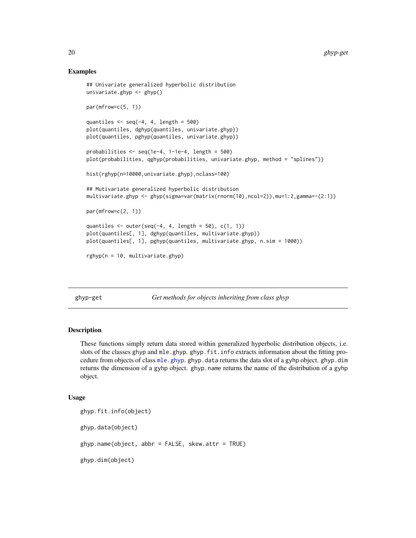# Examples

```
## Univariate generalized hyperbolic distribution
univariate.ghyp <- ghyp()
par(mfrow=c(5, 1))
quantiles \leq seq(-4, 4, length = 500)
plot(quantiles, dghyp(quantiles, univariate.ghyp))
plot(quantiles, pghyp(quantiles, univariate.ghyp))
probabilities \leq seq(1e-4, 1-1e-4, length = 500)
plot(probabilities, qghyp(probabilities, univariate.ghyp, method = "splines"))
hist(rghyp(n=10000,univariate.ghyp),nclass=100)
## Mutivariate generalized hyperbolic distribution
multivariate.ghyp <- ghyp(sigma=var(matrix(rnorm(10),ncol=2)),mu=1:2,gamma=-(2:1))
par(mfrow=c(2, 1))quantiles \leq outer(seq(-4, 4, length = 50), c(1, 1))
plot(quantiles[, 1], dghyp(quantiles, multivariate.ghyp))
plot(quantiles[, 1], pghyp(quantiles, multivariate.ghyp, n.sim = 1000))
rghyp(n = 10, multivariate.ghyp)
```
ghyp-get *Get methods for objects inheriting from class ghyp*

#### <span id="page-19-1"></span>**Description**

These functions simply return data stored within generalized hyperbolic distribution objects, i.e. slots of the classes ghyp and mle.ghyp.ghyp.fit.info extracts information about the fitting procedure from objects of class [mle.ghyp](#page-21-1). ghyp.data returns the data slot of a gyhp object. ghyp.dim returns the dimension of a gyhp object. ghyp.name returns the name of the distribution of a gyhp object.

#### Usage

```
ghyp.fit.info(object)
ghyp.data(object)
ghyp.name(object, abbr = FALSE, skew.attr = TRUE)
ghyp.dim(object)
```
<span id="page-19-0"></span>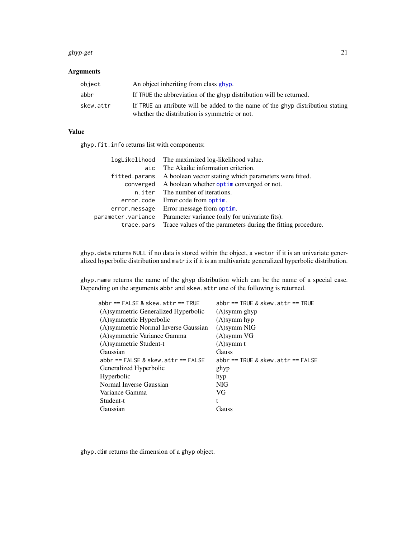#### <span id="page-20-0"></span>ghyp-get 21

# Arguments

| object    | An object inheriting from class ghyp.                                                                                            |
|-----------|----------------------------------------------------------------------------------------------------------------------------------|
| abbr      | If TRUE the abbreviation of the ghyp distribution will be returned.                                                              |
| skew.attr | If TRUE an attribute will be added to the name of the ghyp distribution stating<br>whether the distribution is symmetric or not. |

# Value

ghyp.fit.info returns list with components:

|                    | logLikelihood The maximized log-likelihood value.            |
|--------------------|--------------------------------------------------------------|
| aic                | The Akaike information criterion.                            |
| fitted.params      | A boolean vector stating which parameters were fitted.       |
| converged          | A boolean whether optim converged or not.                    |
| n.iter             | The number of iterations.                                    |
| error.code         | Error code from optim.                                       |
| error.message      | Error message from optim.                                    |
| parameter.variance | Parameter variance (only for univariate fits).               |
| trace.pars         | Trace values of the parameters during the fitting procedure. |

ghyp.data returns NULL if no data is stored within the object, a vector if it is an univariate generalized hyperbolic distribution and matrix if it is an multivariate generalized hyperbolic distribution.

ghyp.name returns the name of the ghyp distribution which can be the name of a special case. Depending on the arguments abbr and skew.attr one of the following is returned.

| $abbr == FALSE &$ skew.attr == TRUE   | $abbr == TRUE &$ skew. $attr == TRUE$  |
|---------------------------------------|----------------------------------------|
| (A) symmetric Generalized Hyperbolic  | $(A)$ symm ghyp                        |
| (A)symmetric Hyperbolic               | $(A)$ symm hyp                         |
| (A) symmetric Normal Inverse Gaussian | (A)symm NIG                            |
| (A) symmetric Variance Gamma          | $(A)$ symm VG                          |
| (A) symmetric Student-t               | $(A)$ symm t                           |
| Gaussian                              | <b>Gauss</b>                           |
| $abbr == FALSE &$ skew.attr == FALSE  | $abbr == TRUE &$ skew. $attr == FALSE$ |
| Generalized Hyperbolic                | ghyp                                   |
| Hyperbolic                            | hyp                                    |
| Normal Inverse Gaussian               | NIG.                                   |
| Variance Gamma                        | VG                                     |
| Student-t                             | t                                      |
| Gaussian                              | Gauss                                  |

ghyp.dim returns the dimension of a ghyp object.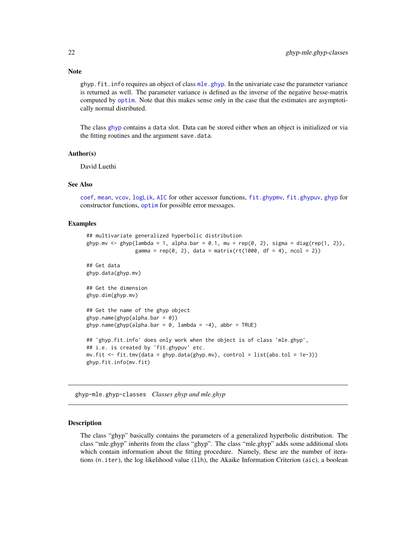ghyp. fit. info requires an object of class  $m \leq \frac{m}{2}$ . In the univariate case the parameter variance is returned as well. The parameter variance is defined as the inverse of the negative hesse-matrix computed by [optim](#page-0-0). Note that this makes sense only in the case that the estimates are asymptotically normal distributed.

The class [ghyp](#page-21-1) contains a data slot. Data can be stored either when an object is initialized or via the fitting routines and the argument save.data.

#### Author(s)

David Luethi

#### See Also

[coef](#page-5-1), [mean](#page-36-1), [vcov](#page-36-1), [logLik](#page-34-1), [AIC](#page-34-1) for other accessor functions, [fit.ghypmv](#page-8-1), [fit.ghypuv](#page-10-1), [ghyp](#page-13-1) for constructor functions, [optim](#page-0-0) for possible error messages.

#### Examples

```
## multivariate generalized hyperbolic distribution
ghyp.mv <- ghyp(lambda = 1, alpha.bar = 0.1, mu = rep(0, 2), sigma = diag(rep(1, 2)),
                gamma = rep(0, 2), data = matrix(rt(1000, df = 4), ncol = 2))
## Get data
ghyp.data(ghyp.mv)
## Get the dimension
ghyp.dim(ghyp.mv)
## Get the name of the ghyp object
ghyp.name(ghyp(a1pha, bar = 0))ghyp.name(ghyp(alpha.bar = 0, lambda = -4), abbr = TRUE)
## 'ghyp.fit.info' does only work when the object is of class 'mle.ghyp',
## i.e. is created by 'fit.ghypuv' etc.
mv.fit \leftarrow fit.tmv(data = ghyp.data(ghyp.mv), control = list(abs.tol = 1e-3))ghyp.fit.info(mv.fit)
```
ghyp-mle.ghyp-classes *Classes ghyp and mle.ghyp*

#### <span id="page-21-1"></span>Description

The class "ghyp" basically contains the parameters of a generalized hyperbolic distribution. The class "mle.ghyp" inherits from the class "ghyp". The class "mle.ghyp" adds some additional slots which contain information about the fitting procedure. Namely, these are the number of iterations (n.iter), the log likelihood value (llh), the Akaike Information Criterion (aic), a boolean

# <span id="page-21-0"></span>**Note**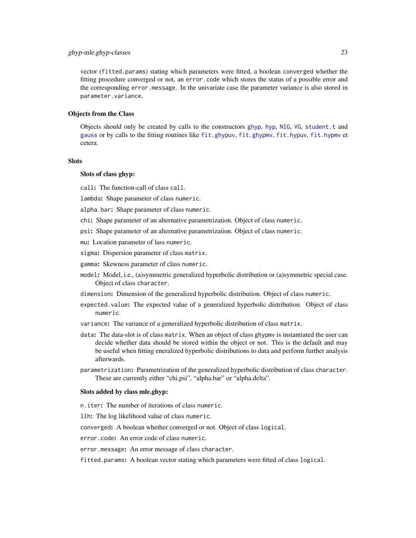# <span id="page-22-0"></span>ghyp-mle.ghyp-classes 23

vector (fitted.params) stating which parameters were fitted, a boolean converged whether the fitting procedure converged or not, an error.code which stores the status of a possible error and the corresponding error.message. In the univariate case the parameter variance is also stored in parameter.variance.

#### Objects from the Class

Objects should only be created by calls to the constructors [ghyp](#page-13-1), [hyp](#page-13-1), [NIG](#page-13-1), [VG](#page-13-1), [student.t](#page-13-1) and [gauss](#page-13-1) or by calls to the fitting routines like [fit.ghypuv](#page-10-1), [fit.ghypmv](#page-8-1), [fit.hypuv](#page-10-2), [fit.hypmv](#page-8-2) et cetera.

#### Slots

# Slots of class ghyp:

call: The function-call of class call.

lambda: Shape parameter of class numeric.

alpha.bar: Shape parameter of class numeric.

chi: Shape parameter of an alternative parametrization. Object of class numeric.

psi: Shape parameter of an alternative parametrization. Object of class numeric.

mu: Location parameter of lass numeric.

sigma: Dispersion parameter of class matrix.

gamma: Skewness parameter of class numeric.

model: Model, i.e., (a)symmetric generalized hyperbolic distribution or (a)symmetric special case. Object of class character.

dimension: Dimension of the generalized hyperbolic distribution. Object of class numeric.

- expected.value: The expected value of a generalized hyperbolic distribution. Object of class numeric.
- variance: The variance of a generalized hyperbolic distribution of class matrix.
- data: The data-slot is of class matrix. When an object of class ghypmv is instantiated the user can decide whether data should be stored within the object or not. This is the default and may be useful when fitting eneralized hyperbolic distributions to data and perform further analysis afterwards.
- parametrization: Parametrization of the generalized hyperbolic distribution of class character. These are currently either "chi.psi", "alpha.bar" or "alpha.delta".

#### Slots added by class mle.ghyp:

n.iter: The number of iterations of class numeric.

llh: The log likelihood value of class numeric.

converged: A boolean whether converged or not. Object of class logical.

error.code: An error code of class numeric.

error.message: An error message of class character.

fitted.params: A boolean vector stating which parameters were fitted of class logical.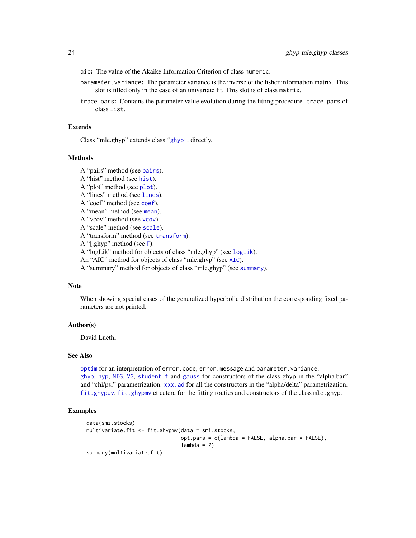- <span id="page-23-0"></span>aic: The value of the Akaike Information Criterion of class numeric.
- parameter.variance: The parameter variance is the inverse of the fisher information matrix. This slot is filled only in the case of an univariate fit. This slot is of class matrix.
- trace.pars: Contains the parameter value evolution during the fitting procedure. trace.pars of class list.

#### Extends

Class "mle.ghyp" extends class ["ghyp"](#page-21-1), directly.

#### **Methods**

A "pairs" method (see [pairs](#page-37-1)). A "hist" method (see [hist](#page-31-1)). A "plot" method (see [plot](#page-40-1)). A "lines" method (see [lines](#page-40-1)). A "coef" method (see [coef](#page-5-1)). A "mean" method (see [mean](#page-36-1)). A "vcov" method (see [vcov](#page-36-1)). A "scale" method (see [scale](#page-45-1)). A "transform" method (see [transform](#page-49-1)). A "[.ghyp" method (see [\[](#page-49-1)). A "logLik" method for objects of class "mle.ghyp" (see [logLik](#page-34-1)). An "AIC" method for objects of class "mle.ghyp" (see [AIC](#page-34-1)). A "summary" method for objects of class "mle.ghyp" (see [summary](#page-48-1)).

# Note

When showing special cases of the generalized hyperbolic distribution the corresponding fixed parameters are not printed.

# Author(s)

David Luethi

# See Also

[optim](#page-0-0) for an interpretation of error.code, error.message and parameter.variance. [ghyp](#page-13-1), [hyp](#page-13-1), [NIG](#page-13-1), [VG](#page-13-1), [student.t](#page-13-1) and [gauss](#page-13-1) for constructors of the class ghyp in the "alpha.bar" and "chi/psi" parametrization. xxx. ad for all the constructors in the "alpha/delta" parametrization. [fit.ghypuv](#page-10-1), [fit.ghypmv](#page-8-1) et cetera for the fitting routies and constructors of the class mle.ghyp.

#### Examples

```
data(smi.stocks)
multivariate.fit <- fit.ghypmv(data = smi.stocks,
                               opt.parse = c(lambda = FALSE, alpha-bar = FALSE),lambda = 2)summary(multivariate.fit)
```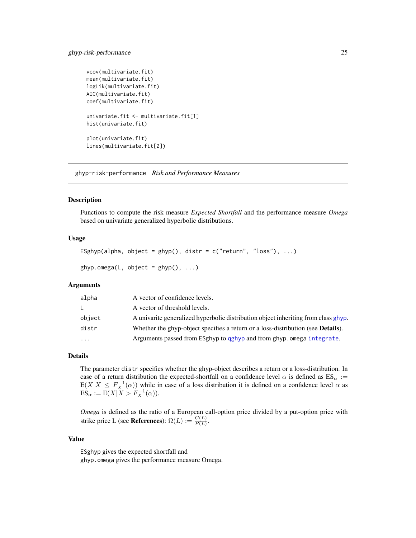# <span id="page-24-0"></span>ghyp-risk-performance 25

```
vcov(multivariate.fit)
mean(multivariate.fit)
logLik(multivariate.fit)
AIC(multivariate.fit)
coef(multivariate.fit)
univariate.fit <- multivariate.fit[1]
hist(univariate.fit)
plot(univariate.fit)
lines(multivariate.fit[2])
```
ghyp-risk-performance *Risk and Performance Measures*

#### <span id="page-24-1"></span>Description

Functions to compute the risk measure *Expected Shortfall* and the performance measure *Omega* based on univariate generalized hyperbolic distributions.

# Usage

```
ESghyp(alpha, object = ghyp(), distr = c("return", "loss"), \dots)
```

```
ghyp.omega(L, object = ghyp(), ...)
```
# Arguments

| alpha    | A vector of confidence levels.                                                           |
|----------|------------------------------------------------------------------------------------------|
| L.       | A vector of threshold levels.                                                            |
| object   | A univarite generalized hyperbolic distribution object inheriting from class ghyp.       |
| distr    | Whether the ghyp-object specifies a return or a loss-distribution (see <b>Details</b> ). |
| $\ddots$ | Arguments passed from ESghyp to qghyp and from ghyp. omega integrate.                    |

# Details

The parameter distr specifies whether the ghyp-object describes a return or a loss-distribution. In case of a return distribution the expected-shortfall on a confidence level  $\alpha$  is defined as  $ES_{\alpha}$  :=  $E(X|X \leq F_X^{-1}(\alpha))$  while in case of a loss distribution it is defined on a confidence level  $\alpha$  as  $ES_{\alpha} := E(X|X > F_X^{-1}(\alpha)).$ 

*Omega* is defined as the ratio of a European call-option price divided by a put-option price with strike price L (see **References**):  $\Omega(L) := \frac{C(L)}{P(L)}$ .

#### Value

ESghyp gives the expected shortfall and ghyp.omega gives the performance measure Omega.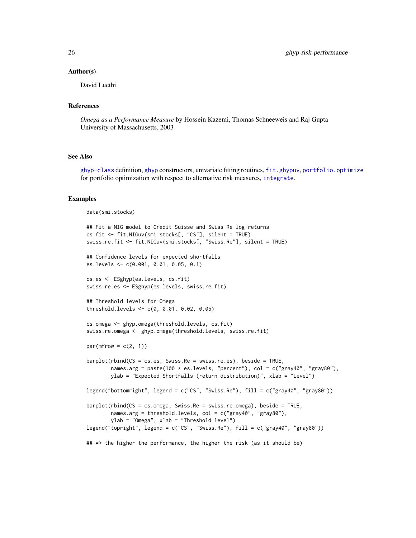#### <span id="page-25-0"></span>Author(s)

David Luethi

# References

*Omega as a Performance Measure* by Hossein Kazemi, Thomas Schneeweis and Raj Gupta University of Massachusetts, 2003

# See Also

[ghyp-class](#page-21-1) definition, [ghyp](#page-13-1) constructors, univariate fitting routines, [fit.ghypuv](#page-10-1), [portfolio.optimize](#page-41-1) for portfolio optimization with respect to alternative risk measures, [integrate](#page-0-0).

#### Examples

```
data(smi.stocks)
```

```
## Fit a NIG model to Credit Suisse and Swiss Re log-returns
cs.fit <- fit.NIGuv(smi.stocks[, "CS"], silent = TRUE)
swiss.re.fit <- fit.NIGuv(smi.stocks[, "Swiss.Re"], silent = TRUE)
## Confidence levels for expected shortfalls
es.levels <- c(0.001, 0.01, 0.05, 0.1)
cs.es <- ESghyp(es.levels, cs.fit)
swiss.re.es <- ESghyp(es.levels, swiss.re.fit)
## Threshold levels for Omega
threshold.levels <- c(0, 0.01, 0.02, 0.05)
cs.omega <- ghyp.omega(threshold.levels, cs.fit)
swiss.re.omega <- ghyp.omega(threshold.levels, swiss.re.fit)
par(mfrow = c(2, 1))barplot(rbind(CS = cs.es, Swiss.Re = swiss.re.es), beside = TRUE,
        names.arg = paste(100 * es.levels, "percent"), col = c("gray40", "gray80"),
       ylab = "Expected Shortfalls (return distribution)", xlab = "Level")
legend("bottomright", legend = c("CS", "Swiss.Re"), fill = c("gray40", "gray80"))
barplot(rbind(CS = cs.omega, Swiss.Re = swiss.re.omega), beside = TRUE,
        names.arg = threshold.levels, col = c("gray40", "gray80"),
        ylab = "Omega", xlab = "Threshold level")
legend("topright", legend = c("CS", "Swiss.Re"), fill = c("gray40", "gray80"))
## => the higher the performance, the higher the risk (as it should be)
```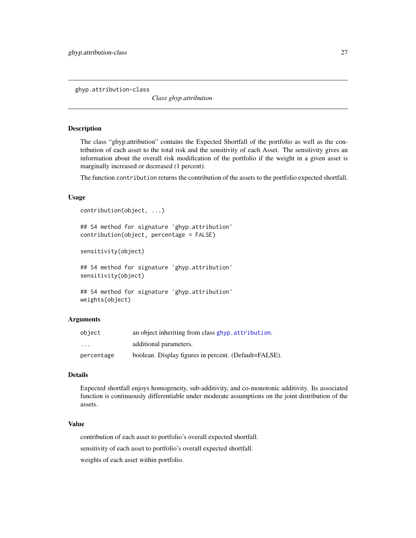<span id="page-26-1"></span><span id="page-26-0"></span>ghyp.attribution-class

*Class ghyp.attribution*

#### **Description**

The class "ghyp.attribution" contains the Expected Shortfall of the portfolio as well as the contribution of each asset to the total risk and the sensitivity of each Asset. The sensitivity gives an information about the overall risk modification of the portfolio if the weight in a given asset is marginally increased or decreased (1 percent).

The function contribution returns the contribution of the assets to the portfolio expected shortfall.

# Usage

```
contribution(object, ...)
## S4 method for signature 'ghyp.attribution'
contribution(object, percentage = FALSE)
```
sensitivity(object)

## S4 method for signature 'ghyp.attribution' sensitivity(object)

```
## S4 method for signature 'ghyp.attribution'
weights(object)
```
# Arguments

| object     | an object inheriting from class ghyp. attribution.    |
|------------|-------------------------------------------------------|
| $\cdot$    | additional parameters.                                |
| percentage | boolean. Display figures in percent. (Default=FALSE). |

#### Details

Expected shortfall enjoys homogeneity, sub-additivity, and co-monotonic additivity. Its associated function is continuously differentiable under moderate assumptions on the joint distribution of the assets.

# Value

contribution of each asset to portfolio's overall expected shortfall.

sensitivity of each asset to portfolio's overall expected shortfall.

weights of each asset within portfolio.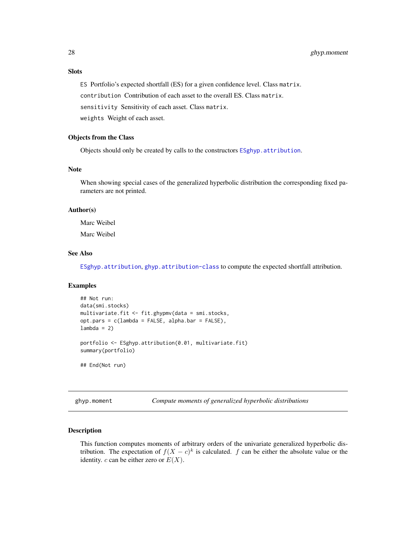# <span id="page-27-0"></span>**Slots**

ES Portfolio's expected shortfall (ES) for a given confidence level. Class matrix.

contribution Contribution of each asset to the overall ES. Class matrix.

sensitivity Sensitivity of each asset. Class matrix.

weights Weight of each asset.

# Objects from the Class

Objects should only be created by calls to the constructors [ESghyp.attribution](#page-7-1).

# Note

When showing special cases of the generalized hyperbolic distribution the corresponding fixed parameters are not printed.

# Author(s)

Marc Weibel Marc Weibel

# See Also

[ESghyp.attribution](#page-7-1), [ghyp.attribution-class](#page-26-1) to compute the expected shortfall attribution.

#### Examples

```
## Not run:
data(smi.stocks)
multivariate.fit <- fit.ghypmv(data = smi.stocks,
opt.pars = c(lambda = FALSE, alpha.bar = FALSE),
lambda = 2)portfolio <- ESghyp.attribution(0.01, multivariate.fit)
summary(portfolio)
## End(Not run)
```
<span id="page-27-1"></span>ghyp.moment *Compute moments of generalized hyperbolic distributions*

#### Description

This function computes moments of arbitrary orders of the univariate generalized hyperbolic distribution. The expectation of  $f(X - c)^k$  is calculated. f can be either the absolute value or the identity. c can be either zero or  $E(X)$ .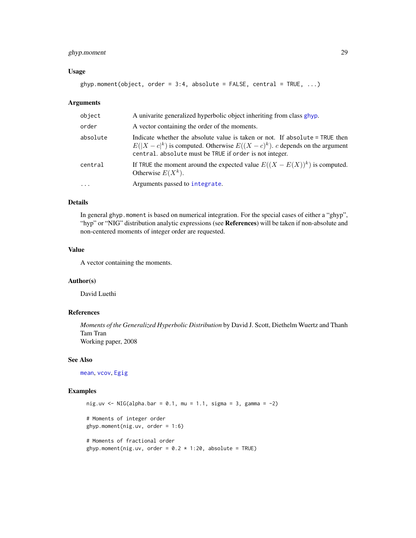# <span id="page-28-0"></span>ghyp.moment 29

#### Usage

ghyp.moment(object, order =  $3:4$ , absolute =  $FALSE$ , central =  $TRUE$ , ...)

#### Arguments

| object   | A univarite generalized hyperbolic object inheriting from class ghyp.                                                                                                                                                       |
|----------|-----------------------------------------------------------------------------------------------------------------------------------------------------------------------------------------------------------------------------|
| order    | A vector containing the order of the moments.                                                                                                                                                                               |
| absolute | Indicate whether the absolute value is taken or not. If absolute = TRUE then<br>$E( X - c ^k)$ is computed. Otherwise $E((X - c)^k)$ . c depends on the argument<br>central. absolute must be TRUE if order is not integer. |
| central  | If TRUE the moment around the expected value $E((X - E(X))^k)$ is computed.<br>Otherwise $E(X^k)$ .                                                                                                                         |
| $\cdot$  | Arguments passed to integrate.                                                                                                                                                                                              |

# Details

In general ghyp.moment is based on numerical integration. For the special cases of either a "ghyp", "hyp" or "NIG" distribution analytic expressions (see References) will be taken if non-absolute and non-centered moments of integer order are requested.

# Value

A vector containing the moments.

#### Author(s)

David Luethi

# References

*Moments of the Generalized Hyperbolic Distribution* by David J. Scott, Diethelm Wuertz and Thanh Tam Tran Working paper, 2008

#### See Also

[mean](#page-36-1), [vcov](#page-36-1), [Egig](#page-29-1)

#### Examples

```
nig.uv <- NIG(alpha.bar = 0.1, mu = 1.1, sigma = 3, gamma = -2)
# Moments of integer order
ghyp.moment(nig.uv, order = 1:6)
# Moments of fractional order
ghyp.moment(nig.uv, order = 0.2 \times 1:20, absolute = TRUE)
```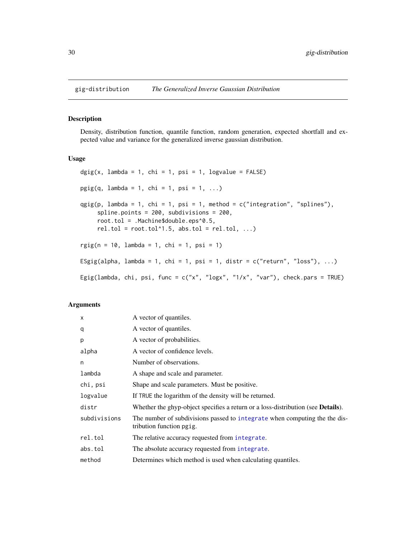<span id="page-29-0"></span>

#### <span id="page-29-1"></span>Description

Density, distribution function, quantile function, random generation, expected shortfall and expected value and variance for the generalized inverse gaussian distribution.

# Usage

```
\text{dgig}(x, \text{ lambda = 1, chi = 1, psi = 1, logvalue = FALSE})pgig(q, lambda = 1, chi = 1, psi = 1, ...)qgig(p, \text{lambda} = 1, \text{chi} = 1, \text{psi} = 1, \text{method} = c("integration", "splines"),spline.points = 200, subdivisions = 200,
     root.tol = .Machine$double.eps^0.5,
     rel.tol = root.tol^1.5, abs.tol = rel.tol, ...)
rgig(n = 10, lambda = 1, chi = 1, psi = 1)
ESgig(alpha, lambda = 1, chi = 1, psi = 1, distr = c("return", "loss"), ...)
Egig(lambda, chi, psi, func = c("x", "logx", "1/x", "var"), check.parse = TRUE)
```
# Arguments

| $\times$     | A vector of quantiles.                                                                                 |
|--------------|--------------------------------------------------------------------------------------------------------|
| q            | A vector of quantiles.                                                                                 |
| p            | A vector of probabilities.                                                                             |
| alpha        | A vector of confidence levels.                                                                         |
| n            | Number of observations.                                                                                |
| lambda       | A shape and scale and parameter.                                                                       |
| chi, psi     | Shape and scale parameters. Must be positive.                                                          |
| logvalue     | If TRUE the logarithm of the density will be returned.                                                 |
| distr        | Whether the ghyp-object specifies a return or a loss-distribution (see <b>Details</b> ).               |
| subdivisions | The number of subdivisions passed to integrate when computing the the dis-<br>tribution function pgig. |
| rel.tol      | The relative accuracy requested from integrate.                                                        |
| abs.tol      | The absolute accuracy requested from integrate.                                                        |
| method       | Determines which method is used when calculating quantiles.                                            |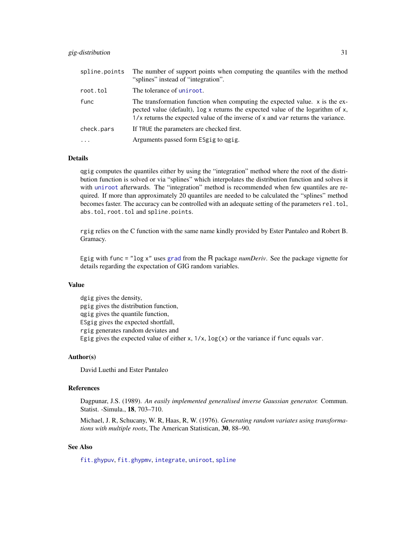<span id="page-30-0"></span>

| spline.points | The number of support points when computing the quantiles with the method<br>"splines" instead of "integration".                                                                                                                                        |
|---------------|---------------------------------------------------------------------------------------------------------------------------------------------------------------------------------------------------------------------------------------------------------|
| root.tol      | The tolerance of uniroot.                                                                                                                                                                                                                               |
| func          | The transformation function when computing the expected value. x is the ex-<br>pected value (default), $\log x$ returns the expected value of the logarithm of x,<br>$1/x$ returns the expected value of the inverse of x and var returns the variance. |
| check.pars    | If TRUE the parameters are checked first.                                                                                                                                                                                                               |
|               | Arguments passed form ESgig to qgig.                                                                                                                                                                                                                    |

# Details

qgig computes the quantiles either by using the "integration" method where the root of the distribution function is solved or via "splines" which interpolates the distribution function and solves it with [uniroot](#page-0-0) afterwards. The "integration" method is recommended when few quantiles are required. If more than approximately 20 quantiles are needed to be calculated the "splines" method becomes faster. The accuracy can be controlled with an adequate setting of the parameters rel.tol, abs.tol, root.tol and spline.points.

rgig relies on the C function with the same name kindly provided by Ester Pantaleo and Robert B. Gramacy.

Egig with func = "log x" uses [grad](#page-0-0) from the R package *numDeriv*. See the package vignette for details regarding the expectation of GIG random variables.

# Value

dgig gives the density, pgig gives the distribution function, qgig gives the quantile function, ESgig gives the expected shortfall, rgig generates random deviates and Egig gives the expected value of either  $x$ ,  $1/x$ ,  $log(x)$  or the variance if func equals var.

# Author(s)

David Luethi and Ester Pantaleo

# References

Dagpunar, J.S. (1989). *An easily implemented generalised inverse Gaussian generator.* Commun. Statist. -Simula., 18, 703–710.

Michael, J. R, Schucany, W. R, Haas, R, W. (1976). *Generating random variates using transformations with multiple roots*, The American Statistican, 30, 88–90.

# See Also

[fit.ghypuv](#page-10-1), [fit.ghypmv](#page-8-1), [integrate](#page-0-0), [uniroot](#page-0-0), [spline](#page-0-0)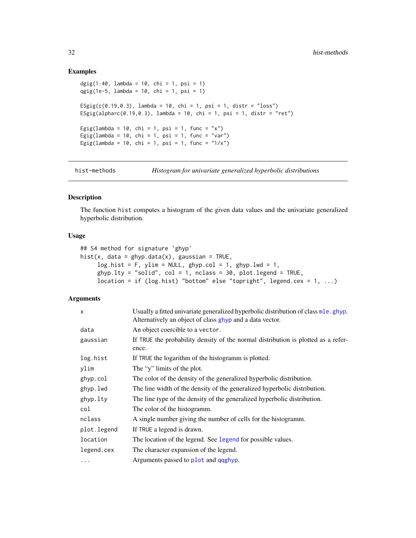#### Examples

```
dgig(1:40, lambda = 10, chi = 1, psi = 1)
qgig(1e-5, lambda = 10, chi = 1, psi = 1)
ESgig(c(0.19,0.3), lambda = 10, chi = 1, psi = 1, distr = "loss")
ESgig(alpha=c(0.19,0.3), lambda = 10, chi = 1, psi = 1, distr = "ret")
Egig(lambda = 10, chi = 1, psi = 1, func = "x")
Egig(lambda = 10, chi = 1, psi = 1, func = "var")
Egig(lambda = 10, chi = 1, psi = 1, func = "1/x")
```
hist-methods *Histogram for univariate generalized hyperbolic distributions*

# <span id="page-31-1"></span>Description

The function hist computes a histogram of the given data values and the univariate generalized hyperbolic distribution.

# Usage

```
## S4 method for signature 'ghyp'
hist(x, data = ghyp.data(x), gaussian = TRUE,
     log.hist = F, ylim = NULL, ghyp.col = 1, ghyp.lwd = 1,
     ghyp.1ty = "solid", col = 1, nclass = 30, plot. legend = TRUE,location = if (log.hist) "bottom" else "topright", legend.cex = 1, ...)
```
#### Arguments

| X           | Usually a fitted univariate generalized hyperbolic distribution of class mle.ghyp.<br>Alternatively an object of class ghyp and a data vector. |
|-------------|------------------------------------------------------------------------------------------------------------------------------------------------|
| data        | An object coercible to a vector.                                                                                                               |
| gaussian    | If TRUE the probability density of the normal distribution is plotted as a refer-<br>ence.                                                     |
| log.hist    | If TRUE the logarithm of the histogramm is plotted.                                                                                            |
| ylim        | The "y" limits of the plot.                                                                                                                    |
| ghyp.col    | The color of the density of the generalized hyperbolic distribution.                                                                           |
| ghyp.lwd    | The line width of the density of the generalized hyperbolic distribution.                                                                      |
| ghyp.lty    | The line type of the density of the generalized hyperbolic distribution.                                                                       |
| col         | The color of the histogramm.                                                                                                                   |
| nclass      | A single number giving the number of cells for the histogramm.                                                                                 |
| plot.legend | If TRUE a legend is drawn.                                                                                                                     |
| location    | The location of the legend. See legend for possible values.                                                                                    |
| legend.cex  | The character expansion of the legend.                                                                                                         |
| .           | Arguments passed to plot and qqghyp.                                                                                                           |

<span id="page-31-0"></span>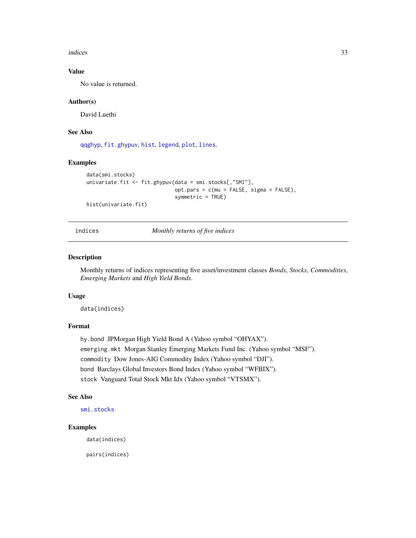<span id="page-32-0"></span>indices 33

# Value

No value is returned.

# Author(s)

David Luethi

# See Also

[qqghyp](#page-43-1), [fit.ghypuv](#page-10-1), [hist](#page-0-0), [legend](#page-0-0), [plot](#page-40-1), [lines](#page-40-1).

# Examples

```
data(smi.stocks)
univariate.fit <- fit.ghypuv(data = smi.stocks[,"SMI"],
                             opt.pars = c(mu = FALSE, sigma = FALSE),
                             symmetric = TRUE)
hist(univariate.fit)
```
#### indices *Monthly returns of five indices*

# Description

Monthly returns of indices representing five asset/investment classes *Bonds*, *Stocks*, *Commodities*, *Emerging Markets* and *High Yield Bonds*.

#### Usage

data(indices)

# Format

hy.bond JPMorgan High Yield Bond A (Yahoo symbol "OHYAX"). emerging.mkt Morgan Stanley Emerging Markets Fund Inc. (Yahoo symbol "MSF"). commodity Dow Jones-AIG Commodity Index (Yahoo symbol "DJI"). bond Barclays Global Investors Bond Index (Yahoo symbol "WFBIX"). stock Vanguard Total Stock Mkt Idx (Yahoo symbol "VTSMX").

# See Also

[smi.stocks](#page-46-1)

# Examples

data(indices)

pairs(indices)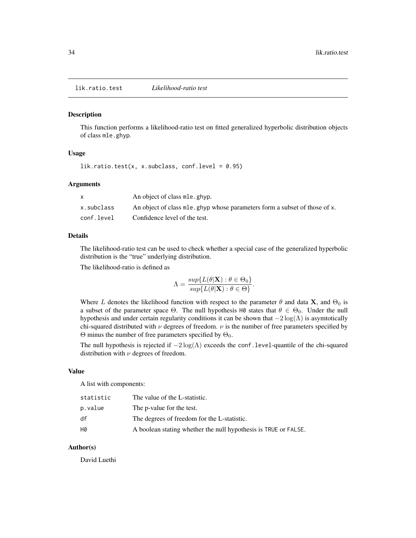<span id="page-33-1"></span><span id="page-33-0"></span>lik.ratio.test *Likelihood-ratio test*

#### Description

This function performs a likelihood-ratio test on fitted generalized hyperbolic distribution objects of class mle.ghyp.

# Usage

lik.ratio.test(x, x.subclass, conf.level =  $0.95$ )

#### Arguments

|            | An object of class mle. ghyp.                                                           |
|------------|-----------------------------------------------------------------------------------------|
| x.subclass | An object of class m <sub>le</sub> , ghyp whose parameters form a subset of those of x. |
| conf.level | Confidence level of the test.                                                           |

# Details

The likelihood-ratio test can be used to check whether a special case of the generalized hyperbolic distribution is the "true" underlying distribution.

The likelihood-ratio is defined as

$$
\Lambda = \frac{\sup\{L(\theta|\mathbf{X}) : \theta \in \Theta_0\}}{\sup\{L(\theta|\mathbf{X}) : \theta \in \Theta\}}.
$$

Where L denotes the likelihood function with respect to the parameter  $\theta$  and data X, and  $\Theta_0$  is a subset of the parameter space  $\Theta$ . The null hypothesis H0 states that  $\theta \in \Theta_0$ . Under the null hypothesis and under certain regularity conditions it can be shown that  $-2 \log(\Lambda)$  is asymtotically chi-squared distributed with  $\nu$  degrees of freedom.  $\nu$  is the number of free parameters specified by Θ minus the number of free parameters specified by  $Θ_0$ .

The null hypothesis is rejected if  $-2\log(\Lambda)$  exceeds the conf.level-quantile of the chi-squared distribution with  $\nu$  degrees of freedom.

#### Value

A list with components:

| statistic | The value of the L-statistic.                                   |
|-----------|-----------------------------------------------------------------|
| p.value   | The p-value for the test.                                       |
| df        | The degrees of freedom for the L-statistic.                     |
| HØ        | A boolean stating whether the null hypothesis is TRUE or FALSE. |

#### Author(s)

David Luethi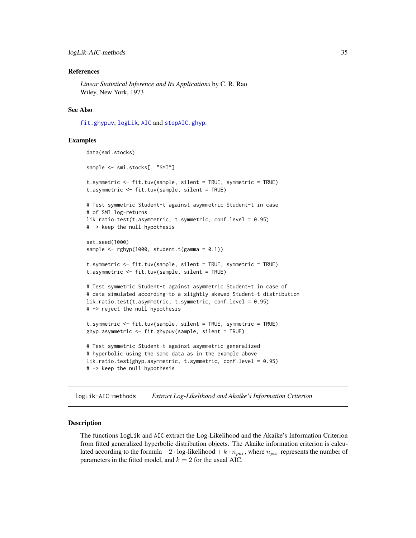#### <span id="page-34-0"></span>References

*Linear Statistical Inference and Its Applications* by C. R. Rao Wiley, New York, 1973

### See Also

[fit.ghypuv](#page-10-1), [logLik](#page-34-1), [AIC](#page-34-1) and [stepAIC.ghyp](#page-47-1).

# Examples

```
data(smi.stocks)
sample <- smi.stocks[, "SMI"]
t.symmetric <- fit.tuv(sample, silent = TRUE, symmetric = TRUE)
t.asymmetric <- fit.tuv(sample, silent = TRUE)
# Test symmetric Student-t against asymmetric Student-t in case
# of SMI log-returns
lik.ratio.test(t.asymmetric, t.symmetric, conf.level = 0.95)
# -> keep the null hypothesis
set.seed(1000)
sample \leq rghyp(1000, student.t(gamma = 0.1))
t.symmetric <- fit.tuv(sample, silent = TRUE, symmetric = TRUE)
t.asymmetric <- fit.tuv(sample, silent = TRUE)
# Test symmetric Student-t against asymmetric Student-t in case of
# data simulated according to a slightly skewed Student-t distribution
lik.ratio.test(t.asymmetric, t.symmetric, conf.level = 0.95)
# -> reject the null hypothesis
t.symmetric <- fit.tuv(sample, silent = TRUE, symmetric = TRUE)
ghyp.asymmetric <- fit.ghypuv(sample, silent = TRUE)
# Test symmetric Student-t against asymmetric generalized
# hyperbolic using the same data as in the example above
lik.ratio.test(ghyp.asymmetric, t.symmetric, conf.level = 0.95)
# -> keep the null hypothesis
```
logLik-AIC-methods *Extract Log-Likelihood and Akaike's Information Criterion*

#### <span id="page-34-1"></span>Description

The functions logLik and AIC extract the Log-Likelihood and the Akaike's Information Criterion from fitted generalized hyperbolic distribution objects. The Akaike information criterion is calculated according to the formula  $-2 \cdot \log$ -likelihood +  $k \cdot n_{par}$ , where  $n_{par}$  represents the number of parameters in the fitted model, and  $k = 2$  for the usual AIC.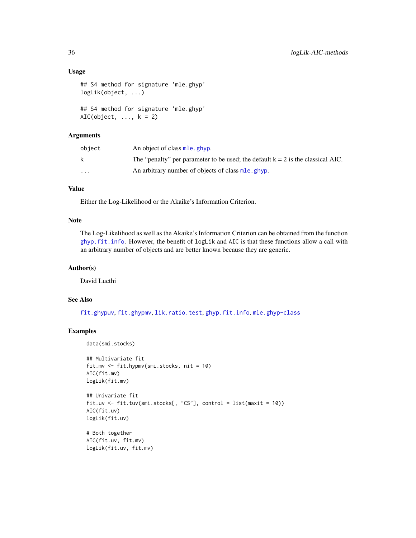#### <span id="page-35-0"></span>Usage

```
## S4 method for signature 'mle.ghyp'
logLik(object, ...)
## S4 method for signature 'mle.ghyp'
AIC(object, ..., k = 2)
```
# Arguments

| object   | An object of class mle. ghyp.                                                     |
|----------|-----------------------------------------------------------------------------------|
|          | The "penalty" per parameter to be used; the default $k = 2$ is the classical AIC. |
| $\cdots$ | An arbitrary number of objects of class mle.ghyp.                                 |

# Value

Either the Log-Likelihood or the Akaike's Information Criterion.

# Note

The Log-Likelihood as well as the Akaike's Information Criterion can be obtained from the function [ghyp.fit.info](#page-19-1). However, the benefit of logLik and AIC is that these functions allow a call with an arbitrary number of objects and are better known because they are generic.

# Author(s)

David Luethi

# See Also

[fit.ghypuv](#page-10-1), [fit.ghypmv](#page-8-1), [lik.ratio.test](#page-33-1), [ghyp.fit.info](#page-19-1), [mle.ghyp-class](#page-21-1)

#### Examples

```
data(smi.stocks)
```

```
## Multivariate fit
fit.mv <- fit.hypmv(smi.stocks, nit = 10)
AIC(fit.mv)
logLik(fit.mv)
```

```
## Univariate fit
fit.uv <- fit.tuv(smi.stocks[, "CS"], control = list(maxit = 10))
AIC(fit.uv)
logLik(fit.uv)
```

```
# Both together
AIC(fit.uv, fit.mv)
logLik(fit.uv, fit.mv)
```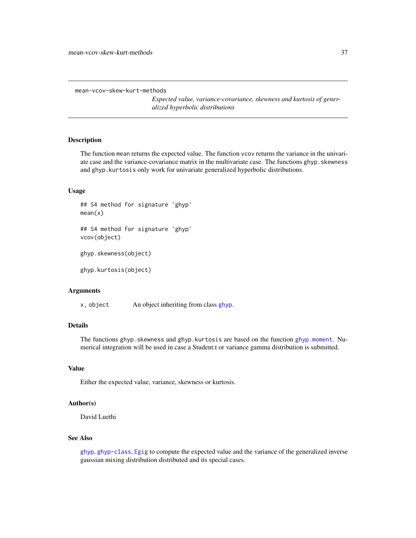```
mean-vcov-skew-kurt-methods
```
*Expected value, variance-covariance, skewness and kurtosis of generalized hyperbolic distributions*

#### <span id="page-36-1"></span>Description

The function mean returns the expected value. The function vcov returns the variance in the univariate case and the variance-covariance matrix in the multivariate case. The functions ghyp. skewness and ghyp.kurtosis only work for univariate generalized hyperbolic distributions.

# Usage

```
## S4 method for signature 'ghyp'
mean(x)
## S4 method for signature 'ghyp'
vcov(object)
```
ghyp.skewness(object)

ghyp.kurtosis(object)

# Arguments

x, object An object inheriting from class [ghyp](#page-21-1).

# Details

The functions ghyp.skewness and ghyp.kurtosis are based on the function [ghyp.moment](#page-27-1). Numerical integration will be used in case a Student.t or variance gamma distribution is submitted.

#### Value

Either the expected value, variance, skewness or kurtosis.

# Author(s)

David Luethi

# See Also

[ghyp](#page-13-1), [ghyp-class](#page-21-1), [Egig](#page-29-1) to compute the expected value and the variance of the generalized inverse gaussian mixing distribution distributed and its special cases.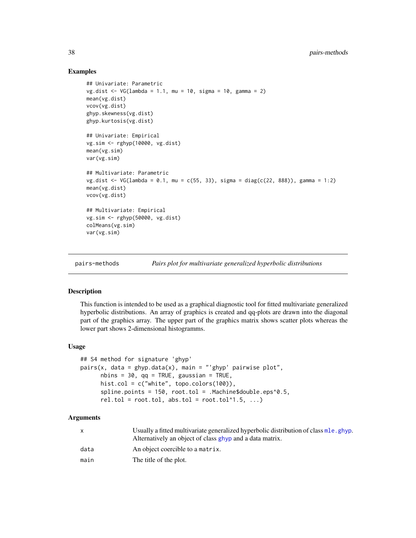# Examples

```
## Univariate: Parametric
vg.dist <- VG(lambda = 1.1, mu = 10, sigma = 10, gamma = 2)
mean(vg.dist)
vcov(vg.dist)
ghyp.skewness(vg.dist)
ghyp.kurtosis(vg.dist)
## Univariate: Empirical
vg.sim <- rghyp(10000, vg.dist)
mean(vg.sim)
var(vg.sim)
## Multivariate: Parametric
vg.dist <- VG(lambda = 0.1, mu = c(55, 33), sigma = diag(c(22, 888)), gamma = 1:2)
mean(vg.dist)
vcov(vg.dist)
## Multivariate: Empirical
vg.sim <- rghyp(50000, vg.dist)
colMeans(vg.sim)
var(vg.sim)
```
pairs-methods *Pairs plot for multivariate generalized hyperbolic distributions*

# <span id="page-37-1"></span>Description

This function is intended to be used as a graphical diagnostic tool for fitted multivariate generalized hyperbolic distributions. An array of graphics is created and qq-plots are drawn into the diagonal part of the graphics array. The upper part of the graphics matrix shows scatter plots whereas the lower part shows 2-dimensional histogramms.

# Usage

```
## S4 method for signature 'ghyp'
pairs(x, data = ghyp.data(x), main = "'ghyp' pairwise plot",
     nbins = 30, qq = TRUE, gaussian = TRUE,
     hist.col = c("white", topo.colors(100)),
     spline.points = 150, root.tol = .Machine$double.eps^0.5,
     rel.tol = root.tol, abs.tol = root.tol^1.5, ...)
```
# Arguments

|      | Usually a fitted multivariate generalized hyperbolic distribution of class mle.ghyp.<br>Alternatively an object of class ghyp and a data matrix. |
|------|--------------------------------------------------------------------------------------------------------------------------------------------------|
| data | An object coercible to a matrix.                                                                                                                 |
| main | The title of the plot.                                                                                                                           |

<span id="page-37-0"></span>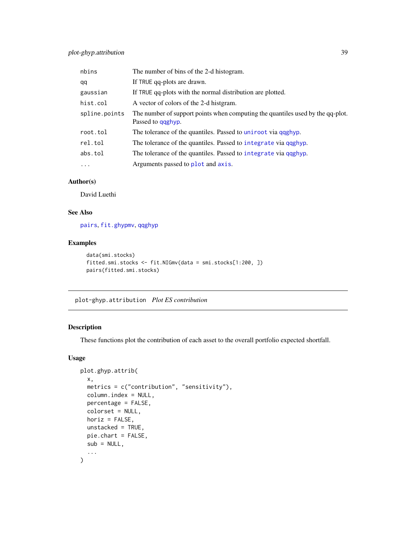<span id="page-38-0"></span>

| nbins         | The number of bins of the 2-d histogram.                                                                    |
|---------------|-------------------------------------------------------------------------------------------------------------|
| qq            | If TRUE qq-plots are drawn.                                                                                 |
| gaussian      | If TRUE qq-plots with the normal distribution are plotted.                                                  |
| hist.col      | A vector of colors of the 2-d histgram.                                                                     |
| spline.points | The number of support points when computing the quantiles used by the qq-plot.<br>Passed to <b>qqghyp</b> . |
| root.tol      | The tolerance of the quantiles. Passed to uniroot via qqghyp.                                               |
| rel.tol       | The tolerance of the quantiles. Passed to integrate via qqghyp.                                             |
| abs.tol       | The tolerance of the quantiles. Passed to integrate via qqghyp.                                             |
| $\cdots$      | Arguments passed to plot and axis.                                                                          |

# Author(s)

David Luethi

# See Also

[pairs](#page-0-0), [fit.ghypmv](#page-8-1), [qqghyp](#page-43-1)

# Examples

```
data(smi.stocks)
fitted.smi.stocks <- fit.NIGmv(data = smi.stocks[1:200, ])
pairs(fitted.smi.stocks)
```
plot-ghyp.attribution *Plot ES contribution*

# Description

These functions plot the contribution of each asset to the overall portfolio expected shortfall.

# Usage

```
plot.ghyp.attrib(
 x,
 metrics = c("contribution", "sensitivity"),
 column.index = NULL,
 percentage = FALSE,
 colorset = NULL,
 horiz = FALSE,
 unstacked = TRUE,
 pie.chart = FALSE,
 sub = NULL,...
\mathcal{L}
```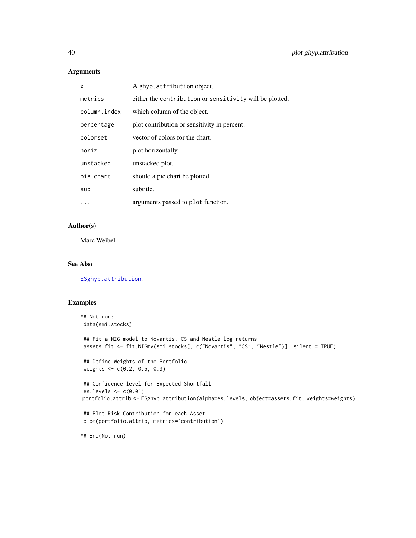# Arguments

| x            | A ghyp.attribution object.                              |
|--------------|---------------------------------------------------------|
| metrics      | either the contribution or sensitivity will be plotted. |
| column.index | which column of the object.                             |
| percentage   | plot contribution or sensitivity in percent.            |
| colorset     | vector of colors for the chart.                         |
| horiz        | plot horizontally.                                      |
| unstacked    | unstacked plot.                                         |
| pie.chart    | should a pie chart be plotted.                          |
| sub          | subtitle.                                               |
|              | arguments passed to plot function.                      |

# Author(s)

Marc Weibel

# See Also

[ESghyp.attribution](#page-7-1).

# Examples

```
## Not run:
data(smi.stocks)
## Fit a NIG model to Novartis, CS and Nestle log-returns
assets.fit <- fit.NIGmv(smi.stocks[, c("Novartis", "CS", "Nestle")], silent = TRUE)
## Define Weights of the Portfolio
weights <- c(0.2, 0.5, 0.3)
## Confidence level for Expected Shortfall
es.levels <- c(0.01)
portfolio.attrib <- ESghyp.attribution(alpha=es.levels, object=assets.fit, weights=weights)
## Plot Risk Contribution for each Asset
plot(portfolio.attrib, metrics='contribution')
```
## End(Not run)

<span id="page-39-0"></span>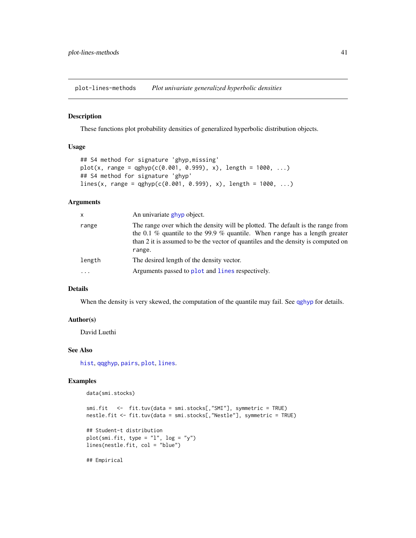<span id="page-40-0"></span>plot-lines-methods *Plot univariate generalized hyperbolic densities*

#### <span id="page-40-1"></span>Description

These functions plot probability densities of generalized hyperbolic distribution objects.

#### Usage

```
## S4 method for signature 'ghyp,missing'
plot(x, range = qghyp(c(0.001, 0.999), x), length = 1000, ...)## S4 method for signature 'ghyp'
lines(x, range = qghyp(c(0.001, 0.999), x), length = 1000, ...)
```
#### Arguments

| X      | An univariate ghyp object.                                                                                                                                                                                                                                   |
|--------|--------------------------------------------------------------------------------------------------------------------------------------------------------------------------------------------------------------------------------------------------------------|
| range  | The range over which the density will be plotted. The default is the range from<br>the 0.1 % quantile to the 99.9 % quantile. When range has a length greater<br>than 2 it is assumed to be the vector of quantiles and the density is computed on<br>range. |
| length | The desired length of the density vector.                                                                                                                                                                                                                    |
|        | Arguments passed to plot and lines respectively.                                                                                                                                                                                                             |

#### Details

When the density is very skewed, the computation of the quantile may fail. See [qghyp](#page-17-1) for details.

# Author(s)

David Luethi

# See Also

[hist](#page-31-1), [qqghyp](#page-43-1), [pairs](#page-37-1), [plot](#page-0-0), [lines](#page-0-0).

# Examples

```
data(smi.stocks)
```

```
smi.fit <- fit.tuv(data = smi.stocks[,"SMI"], symmetric = TRUE)
nestle.fit <- fit.tuv(data = smi.stocks[,"Nestle"], symmetric = TRUE)
## Student-t distribution
plot(smi.fit, type = "1", log = "y")
lines(nestle.fit, col = "blue")
## Empirical
```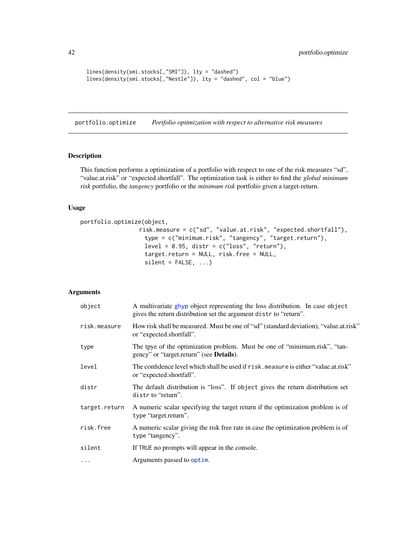```
lines(density(smi.stocks[,"SMI"]), lty = "dashed")
lines(density(smi.stocks[,"Nestle"]), lty = "dashed", col = "blue")
```
<span id="page-41-1"></span>portfolio.optimize *Portfolio optimization with respect to alternative risk measures*

#### Description

This function performs a optimization of a portfolio with respect to one of the risk measures "sd", "value.at.risk" or "expected.shortfall". The optimization task is either to find the *global minimum risk* portfolio, the *tangency* portfolio or the *minimum risk* portfolio given a target-return.

#### Usage

```
portfolio.optimize(object,
                 risk.measure = c("sd", "value.at.risk", "expected.shortfall"),
```

```
type = c("minimum.risk", "tangency", "target.return"),
level = 0.95, distr = c("loss", "return"),target.return = NULL, risk.free = NULL,
silent = FALSE, ...)
```
#### Arguments

| object        | A multivariate ghyp object representing the loss distribution. In case object<br>gives the return distribution set the argument distr to "return". |
|---------------|----------------------------------------------------------------------------------------------------------------------------------------------------|
| risk.measure  | How risk shall be measured. Must be one of "sd" (standard deviation), "value.at.risk"<br>or "expected.shortfall".                                  |
| type          | The tpye of the optimization problem. Must be one of "minimum.risk", "tan-<br>gency" or "target.return" (see <b>Details</b> ).                     |
| level         | The confidence level which shall be used if risk, measure is either "value, at risk"<br>or "expected.shortfall".                                   |
| distr         | The default distribution is "loss". If object gives the return distribution set<br>distr to "return".                                              |
| target.return | A numeric scalar specifying the target return if the optimization problem is of<br>type "target.return".                                           |
| risk.free     | A numeric scalar giving the risk free rate in case the optimization problem is of<br>type "tangency".                                              |
| silent        | If TRUE no prompts will appear in the console.                                                                                                     |
| $\cdots$      | Arguments passed to optim.                                                                                                                         |

<span id="page-41-0"></span>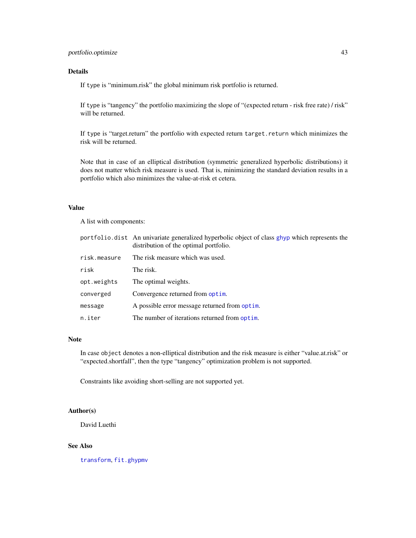# <span id="page-42-0"></span>portfolio.optimize 43

# Details

If type is "minimum.risk" the global minimum risk portfolio is returned.

If type is "tangency" the portfolio maximizing the slope of "(expected return - risk free rate) / risk" will be returned.

If type is "target.return" the portfolio with expected return target.return which minimizes the risk will be returned.

Note that in case of an elliptical distribution (symmetric generalized hyperbolic distributions) it does not matter which risk measure is used. That is, minimizing the standard deviation results in a portfolio which also minimizes the value-at-risk et cetera.

#### Value

A list with components:

|              | portfolio.dist An univariate generalized hyperbolic object of class ghyp which represents the<br>distribution of the optimal portfolio. |
|--------------|-----------------------------------------------------------------------------------------------------------------------------------------|
| risk.measure | The risk measure which was used.                                                                                                        |
| risk         | The risk.                                                                                                                               |
| opt.weights  | The optimal weights.                                                                                                                    |
| converged    | Convergence returned from optim.                                                                                                        |
| message      | A possible error message returned from optim.                                                                                           |
| n.iter       | The number of iterations returned from optim.                                                                                           |

#### Note

In case object denotes a non-elliptical distribution and the risk measure is either "value.at.risk" or "expected.shortfall", then the type "tangency" optimization problem is not supported.

Constraints like avoiding short-selling are not supported yet.

# Author(s)

David Luethi

# See Also

[transform](#page-49-1), [fit.ghypmv](#page-8-1)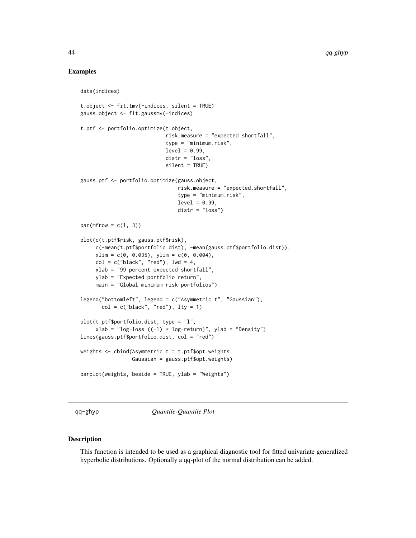# Examples

data(indices)

```
t.object <- fit.tmv(-indices, silent = TRUE)
gauss.object <- fit.gaussmv(-indices)
t.ptf <- portfolio.optimize(t.object,
                            risk.measure = "expected.shortfall",
                            type = "minimum.risk",
                            level = 0.99.
                            distr = "loss",
                            silent = TRUE)
gauss.ptf <- portfolio.optimize(gauss.object,
                                risk.measure = "expected.shortfall",
                                type = "minimum.risk",
                                level = 0.99,
                                distr = "loss")
par(mfrow = c(1, 3))plot(c(t.ptf$risk, gauss.ptf$risk),
     c(-mean(t.ptf$portfolio.dist), -mean(gauss.ptf$portfolio.dist)),
     xlim = c(0, 0.035), ylim = c(0, 0.004),col = c("black", "red"), lwd = 4,xlab = "99 percent expected shortfall",
    ylab = "Expected portfolio return",
    main = "Global minimum risk portfolios")
legend("bottomleft", legend = c("Asymmetric t", "Gaussian"),
      col = c("black", "red"), \; lty = 1)plot(t.ptf$portfolio.dist, type = "l",
     xlab = "log-loss ((-1) * log-return)", ylab = "Density")
lines(gauss.ptf$portfolio.dist, col = "red")
weights \leq cbind(Asymmetric.t = t.ptf$opt.weights,
                 Gaussian = gauss.ptf$opt.weights)
barplot(weights, beside = TRUE, ylab = "Weights")
```
qq-ghyp *Quantile-Quantile Plot*

#### <span id="page-43-1"></span>Description

This function is intended to be used as a graphical diagnostic tool for fitted univariate generalized hyperbolic distributions. Optionally a qq-plot of the normal distribution can be added.

<span id="page-43-0"></span>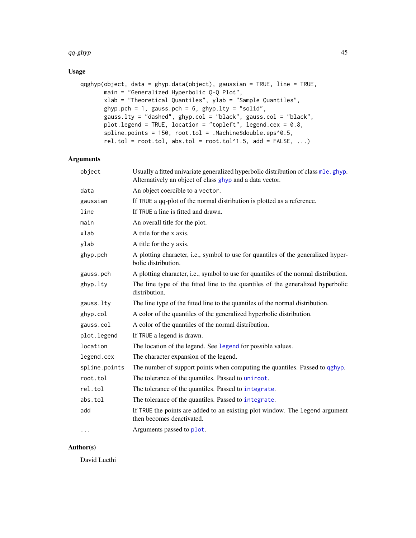#### <span id="page-44-0"></span> $q\overline{q}$ -ghyp  $45$

# Usage

```
qqghyp(object, data = ghyp.data(object), gaussian = TRUE, line = TRUE,
      main = "Generalized Hyperbolic Q-Q Plot",
      xlab = "Theoretical Quantiles", ylab = "Sample Quantiles",
      ghyp.pch = 1, gauss.pch = 6, ghyp.lty = "solid",
       gauss.lty = "dashed", ghyp.col = "black", gauss.col = "black",
      plot.legend = TRUE, location = "topleft", legend.cex = 0.8,
       spline.points = 150, root.tol = .Machine$double.eps^0.5,
       rel.tol = root.tol, abs.tol = root.tol^1.5, add = FALSE, ...)
```
# Arguments

| object        | Usually a fitted univariate generalized hyperbolic distribution of class mle.ghyp.<br>Alternatively an object of class ghyp and a data vector. |
|---------------|------------------------------------------------------------------------------------------------------------------------------------------------|
| data          | An object coercible to a vector.                                                                                                               |
| gaussian      | If TRUE a qq-plot of the normal distribution is plotted as a reference.                                                                        |
| line          | If TRUE a line is fitted and drawn.                                                                                                            |
| main          | An overall title for the plot.                                                                                                                 |
| xlab          | A title for the x axis.                                                                                                                        |
| ylab          | A title for the y axis.                                                                                                                        |
| ghyp.pch      | A plotting character, i.e., symbol to use for quantiles of the generalized hyper-<br>bolic distribution.                                       |
| gauss.pch     | A plotting character, i.e., symbol to use for quantiles of the normal distribution.                                                            |
| ghyp.lty      | The line type of the fitted line to the quantiles of the generalized hyperbolic<br>distribution.                                               |
| gauss.lty     | The line type of the fitted line to the quantiles of the normal distribution.                                                                  |
| ghyp.col      | A color of the quantiles of the generalized hyperbolic distribution.                                                                           |
| gauss.col     | A color of the quantiles of the normal distribution.                                                                                           |
| plot.legend   | If TRUE a legend is drawn.                                                                                                                     |
| location      | The location of the legend. See legend for possible values.                                                                                    |
| legend.cex    | The character expansion of the legend.                                                                                                         |
| spline.points | The number of support points when computing the quantiles. Passed to qghyp.                                                                    |
| root.tol      | The tolerance of the quantiles. Passed to uniroot.                                                                                             |
| rel.tol       | The tolerance of the quantiles. Passed to integrate.                                                                                           |
| abs.tol       | The tolerance of the quantiles. Passed to integrate.                                                                                           |
| add           | If TRUE the points are added to an existing plot window. The legend argument<br>then becomes deactivated.                                      |
| $\cdots$      | Arguments passed to plot.                                                                                                                      |

# Author(s)

David Luethi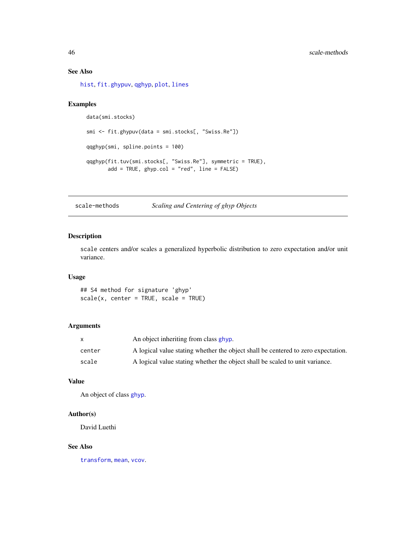# See Also

[hist](#page-31-1), [fit.ghypuv](#page-10-1), [qghyp](#page-17-1), [plot](#page-40-1), [lines](#page-40-1)

# Examples

```
data(smi.stocks)
smi <- fit.ghypuv(data = smi.stocks[, "Swiss.Re"])
qqghyp(smi, spline.points = 100)
qqghyp(fit.tuv(smi.stocks[, "Swiss.Re"], symmetric = TRUE),
       add = TRUE, ghyp.col = "red", line = FALSE)
```
scale-methods *Scaling and Centering of ghyp Objects*

# <span id="page-45-1"></span>Description

scale centers and/or scales a generalized hyperbolic distribution to zero expectation and/or unit variance.

# Usage

## S4 method for signature 'ghyp'  $scale(x, center = TRUE, scale = TRUE)$ 

# Arguments

|        | An object inheriting from class ghyp.                                             |
|--------|-----------------------------------------------------------------------------------|
| center | A logical value stating whether the object shall be centered to zero expectation. |
| scale  | A logical value stating whether the object shall be scaled to unit variance.      |

# Value

An object of class [ghyp](#page-21-1).

# Author(s)

David Luethi

#### See Also

[transform](#page-49-1), [mean](#page-0-0), [vcov](#page-0-0).

<span id="page-45-0"></span>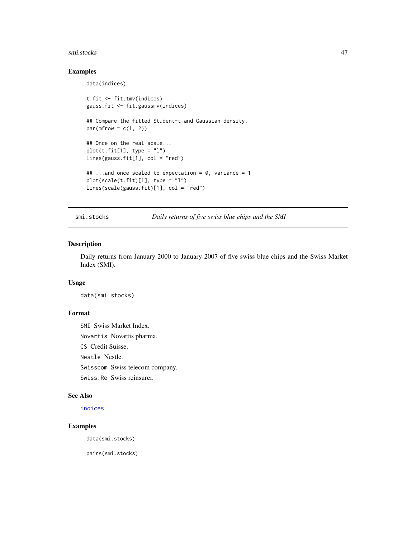#### <span id="page-46-0"></span>smi.stocks 47

# Examples

data(indices)

```
t.fit <- fit.tmv(indices)
gauss.fit <- fit.gaussmv(indices)
## Compare the fitted Student-t and Gaussian density.
par(mfrow = c(1, 2))## Once on the real scale...
plot(t.fit[1], type = "l")lines(gauss.fit[1], col = "red")
## ...and once scaled to expectation = 0, variance = 1
plot(scale(t.fit)[1], type = "l")
lines(scale(gauss.fit)[1], col = "red")
```
<span id="page-46-1"></span>smi.stocks *Daily returns of five swiss blue chips and the SMI*

#### Description

Daily returns from January 2000 to January 2007 of five swiss blue chips and the Swiss Market Index (SMI).

#### Usage

data(smi.stocks)

# Format

SMI Swiss Market Index. Novartis Novartis pharma. CS Credit Suisse. Nestle Nestle. Swisscom Swiss telecom company. Swiss.Re Swiss reinsurer.

# See Also

[indices](#page-32-1)

# Examples

data(smi.stocks)

pairs(smi.stocks)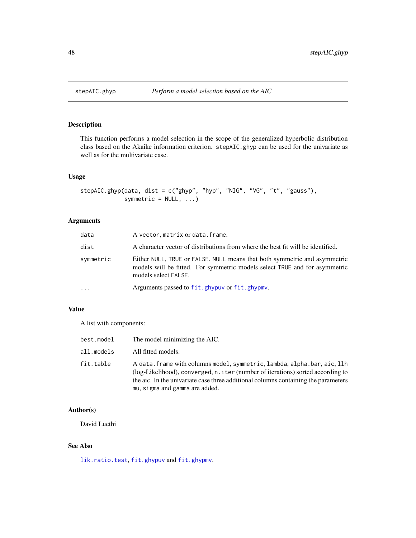<span id="page-47-1"></span><span id="page-47-0"></span>

# Description

This function performs a model selection in the scope of the generalized hyperbolic distribution class based on the Akaike information criterion. stepAIC.ghyp can be used for the univariate as well as for the multivariate case.

# Usage

```
stepAIC.ghyp(data, dist = c("ghyp", "hyp", "NIG", "VG", "t", "gauss"),
             symmetric = NULL, ...)
```
# Arguments

| data      | A vector, matrix or data. frame.                                                                                                                                                |
|-----------|---------------------------------------------------------------------------------------------------------------------------------------------------------------------------------|
| dist      | A character vector of distributions from where the best fit will be identified.                                                                                                 |
| symmetric | Either NULL, TRUE or FALSE. NULL means that both symmetric and asymmetric<br>models will be fitted. For symmetric models select TRUE and for asymmetric<br>models select FALSE. |
| $\ddots$  | Arguments passed to fit.ghypuv or fit.ghypmv.                                                                                                                                   |

# Value

A list with components:

| best.model | The model minimizing the AIC.                                                                                                                                                                                                                                                        |
|------------|--------------------------------------------------------------------------------------------------------------------------------------------------------------------------------------------------------------------------------------------------------------------------------------|
| all.models | All fitted models.                                                                                                                                                                                                                                                                   |
| fit.table  | A data. frame with columns model, symmetric, lambda, alpha.bar, aic, llh<br>(log-Likelihood), converged, n. i ter (number of iterations) sorted according to<br>the aic. In the univariate case three additional columns containing the parameters<br>mu, sigma and gamma are added. |

# Author(s)

David Luethi

# See Also

[lik.ratio.test](#page-33-1), [fit.ghypuv](#page-10-1) and [fit.ghypmv](#page-8-1).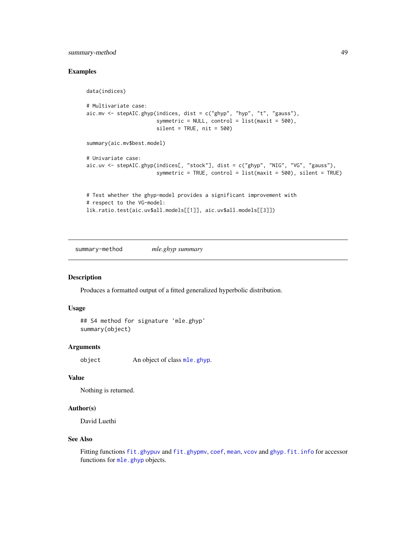# <span id="page-48-0"></span>summary-method 49

# Examples

data(indices)

```
# Multivariate case:
aic.mv \le stepAIC.ghyp(indices, dist = c("ghyp", "hyp", "t", "gauss"),
                       symmetric = NULL, control = list(maxit = 500),
                       silent = TRUE, nit = 500)summary(aic.mv$best.model)
# Univariate case:
aic.uv <- stepAIC.ghyp(indices[, "stock"], dist = c("ghyp", "NIG", "VG", "gauss"),
                       symmetric = TRUE, control = list(maxit = 500), silent = TRUE)
# Test whether the ghyp-model provides a significant improvement with
# respect to the VG-model:
```

```
lik.ratio.test(aic.uv$all.models[[1]], aic.uv$all.models[[3]])
```
summary-method *mle.ghyp summary*

# <span id="page-48-1"></span>Description

Produces a formatted output of a fitted generalized hyperbolic distribution.

#### Usage

```
## S4 method for signature 'mle.ghyp'
summary(object)
```
# Arguments

object An object of class [mle.ghyp](#page-21-1).

# Value

```
Nothing is returned.
```
#### Author(s)

David Luethi

#### See Also

Fitting functions [fit.ghypuv](#page-10-1) and [fit.ghypmv](#page-8-1), [coef](#page-5-1), [mean](#page-36-1), [vcov](#page-36-1) and [ghyp.fit.info](#page-19-1) for accessor functions for [mle.ghyp](#page-21-1) objects.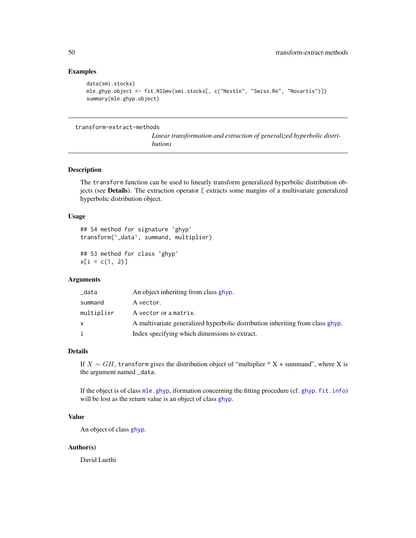# Examples

```
data(smi.stocks)
mle.ghyp.object <- fit.NIGmv(smi.stocks[, c("Nestle", "Swiss.Re", "Novartis")])
summary(mle.ghyp.object)
```
#### transform-extract-methods

*Linear transformation and extraction of generalized hyperbolic distributions*

# <span id="page-49-1"></span>Description

The transform function can be used to linearly transform generalized hyperbolic distribution objects (see Details). The extraction operator [ extracts some margins of a multivariate generalized hyperbolic distribution object.

#### Usage

```
## S4 method for signature 'ghyp'
transform(`_data`, summand, multiplier)
```

```
## S3 method for class 'ghyp'
x[i = c(1, 2)]
```
# Arguments

| _data      | An object inheriting from class ghyp.                                          |
|------------|--------------------------------------------------------------------------------|
| summand    | A vector.                                                                      |
| multiplier | A vector or a matrix.                                                          |
|            | A multivariate generalized hyperbolic distribution inheriting from class ghyp. |
|            | Index specifying which dimensions to extract.                                  |

# Details

If  $X \sim GH$ , transform gives the distribution object of "multiplier \* X + summand", where X is the argument named \_data.

If the object is of class [mle.ghyp](#page-21-1), iformation concerning the fitting procedure (cf. [ghyp.fit.info](#page-19-1)) will be lost as the return value is an object of class [ghyp](#page-21-1).

# Value

An object of class [ghyp](#page-21-1).

#### Author(s)

David Luethi

<span id="page-49-0"></span>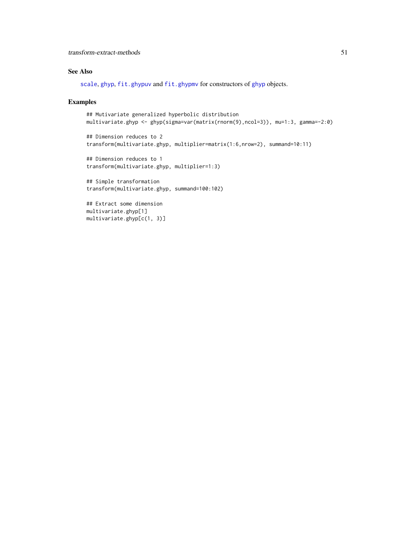# <span id="page-50-0"></span>See Also

[scale](#page-45-1), [ghyp](#page-21-1), [fit.ghypuv](#page-10-1) and [fit.ghypmv](#page-8-1) for constructors of ghyp objects.

### Examples

```
## Mutivariate generalized hyperbolic distribution
multivariate.ghyp <- ghyp(sigma=var(matrix(rnorm(9),ncol=3)), mu=1:3, gamma=-2:0)
```

```
## Dimension reduces to 2
transform(multivariate.ghyp, multiplier=matrix(1:6,nrow=2), summand=10:11)
```

```
## Dimension reduces to 1
transform(multivariate.ghyp, multiplier=1:3)
```

```
## Simple transformation
transform(multivariate.ghyp, summand=100:102)
```

```
## Extract some dimension
multivariate.ghyp[1]
multivariate.ghyp[c(1, 3)]
```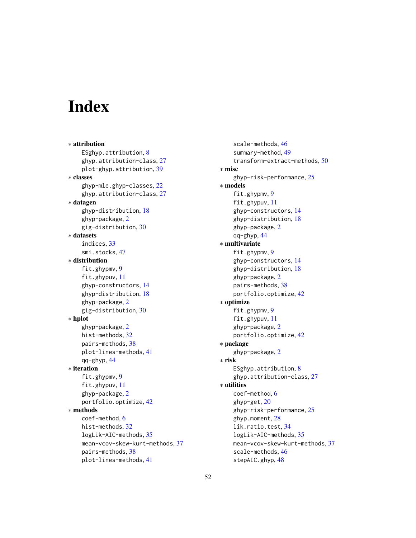# <span id="page-51-0"></span>**Index**

∗ attribution ESghyp.attribution, [8](#page-7-0) ghyp.attribution-class, [27](#page-26-0) plot-ghyp.attribution, [39](#page-38-0) ∗ classes ghyp-mle.ghyp-classes, [22](#page-21-0) ghyp.attribution-class, [27](#page-26-0) ∗ datagen ghyp-distribution, [18](#page-17-0) ghyp-package, [2](#page-1-0) gig-distribution, [30](#page-29-0) ∗ datasets indices, [33](#page-32-0) smi.stocks, [47](#page-46-0) ∗ distribution fit.ghypmv, [9](#page-8-0) fit.ghypuv, [11](#page-10-0) ghyp-constructors, [14](#page-13-0) ghyp-distribution, [18](#page-17-0) ghyp-package, [2](#page-1-0) gig-distribution, [30](#page-29-0) ∗ hplot ghyp-package, [2](#page-1-0) hist-methods, [32](#page-31-0) pairs-methods, [38](#page-37-0) plot-lines-methods, [41](#page-40-0) qq-ghyp, [44](#page-43-0) ∗ iteration fit.ghypmv, [9](#page-8-0) fit.ghypuv, [11](#page-10-0) ghyp-package, [2](#page-1-0) portfolio.optimize, [42](#page-41-0) ∗ methods coef-method, [6](#page-5-0) hist-methods, [32](#page-31-0) logLik-AIC-methods, [35](#page-34-0) mean-vcov-skew-kurt-methods, [37](#page-36-0) pairs-methods, [38](#page-37-0) plot-lines-methods, [41](#page-40-0)

scale-methods, [46](#page-45-0) summary-method, [49](#page-48-0) transform-extract-methods, [50](#page-49-0) ∗ misc ghyp-risk-performance, [25](#page-24-0) ∗ models fit.ghypmv, [9](#page-8-0) fit.ghypuv, [11](#page-10-0) ghyp-constructors, [14](#page-13-0) ghyp-distribution, [18](#page-17-0) ghyp-package, [2](#page-1-0) qq-ghyp, [44](#page-43-0) ∗ multivariate fit.ghypmv, [9](#page-8-0) ghyp-constructors, [14](#page-13-0) ghyp-distribution, [18](#page-17-0) ghyp-package, [2](#page-1-0) pairs-methods, [38](#page-37-0) portfolio.optimize, [42](#page-41-0) ∗ optimize fit.ghypmv, [9](#page-8-0) fit.ghypuv, [11](#page-10-0) ghyp-package, [2](#page-1-0) portfolio.optimize, [42](#page-41-0) ∗ package ghyp-package, [2](#page-1-0) ∗ risk ESghyp.attribution, [8](#page-7-0) ghyp.attribution-class, [27](#page-26-0) ∗ utilities coef-method, [6](#page-5-0) ghyp-get, [20](#page-19-0) ghyp-risk-performance, [25](#page-24-0) ghyp.moment, [28](#page-27-0) lik.ratio.test, [34](#page-33-0) logLik-AIC-methods, [35](#page-34-0) mean-vcov-skew-kurt-methods, [37](#page-36-0) scale-methods, [46](#page-45-0) stepAIC.ghyp, [48](#page-47-0)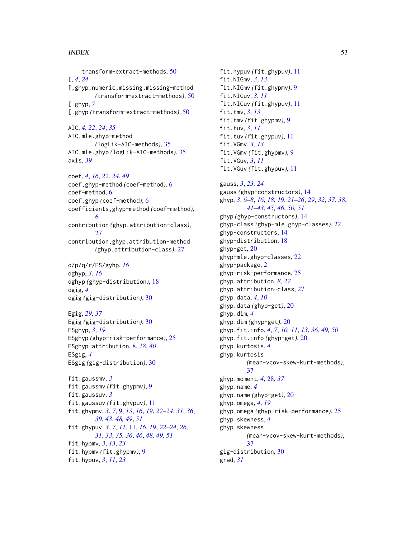#### $I<sub>N</sub>DEX$  53

transform-extract-methods, [50](#page-49-0) [, *[4](#page-3-0)*, *[24](#page-23-0)* [,ghyp,numeric,missing,missing-method *(*transform-extract-methods*)*, [50](#page-49-0) [.ghyp, *[7](#page-6-0)* [.ghyp *(*transform-extract-methods*)*, [50](#page-49-0)

AIC, *[4](#page-3-0)*, *[22](#page-21-0)*, *[24](#page-23-0)*, *[35](#page-34-0)* AIC,mle.ghyp-method *(*logLik-AIC-methods*)*, [35](#page-34-0) AIC.mle.ghyp *(*logLik-AIC-methods*)*, [35](#page-34-0) axis, *[39](#page-38-0)*

coef, *[4](#page-3-0)*, *[16](#page-15-0)*, *[22](#page-21-0)*, *[24](#page-23-0)*, *[49](#page-48-0)* coef,ghyp-method *(*coef-method*)*, [6](#page-5-0) coef-method, [6](#page-5-0) coef.ghyp *(*coef-method*)*, [6](#page-5-0) coefficients,ghyp-method *(*coef-method*)*, [6](#page-5-0) contribution *(*ghyp.attribution-class*)*, [27](#page-26-0) contribution,ghyp.attribution-method *(*ghyp.attribution-class*)*, [27](#page-26-0)

d/p/q/r/ES/gyhp, *[16](#page-15-0)* dghyp, *[3](#page-2-0)*, *[16](#page-15-0)* dghyp *(*ghyp-distribution*)*, [18](#page-17-0) dgig, *[4](#page-3-0)* dgig *(*gig-distribution*)*, [30](#page-29-0)

Egig, *[29](#page-28-0)*, *[37](#page-36-0)* Egig *(*gig-distribution*)*, [30](#page-29-0) ESghyp, *[3](#page-2-0)*, *[19](#page-18-0)* ESghyp *(*ghyp-risk-performance*)*, [25](#page-24-0) ESghyp.attribution, [8,](#page-7-0) *[28](#page-27-0)*, *[40](#page-39-0)* ESgig, *[4](#page-3-0)* ESgig *(*gig-distribution*)*, [30](#page-29-0)

fit.gaussmv, *[3](#page-2-0)* fit.gaussmv *(*fit.ghypmv*)*, [9](#page-8-0) fit.gaussuv, *[3](#page-2-0)* fit.gaussuv *(*fit.ghypuv*)*, [11](#page-10-0) fit.ghypmv, *[3](#page-2-0)*, *[7](#page-6-0)*, [9,](#page-8-0) *[13](#page-12-0)*, *[16](#page-15-0)*, *[19](#page-18-0)*, *[22–](#page-21-0)[24](#page-23-0)*, *[31](#page-30-0)*, *[36](#page-35-0)*, *[39](#page-38-0)*, *[43](#page-42-0)*, *[48,](#page-47-0) [49](#page-48-0)*, *[51](#page-50-0)* fit.ghypuv, *[3](#page-2-0)*, *[7](#page-6-0)*, *[11](#page-10-0)*, [11,](#page-10-0) *[16](#page-15-0)*, *[19](#page-18-0)*, *[22–](#page-21-0)[24](#page-23-0)*, *[26](#page-25-0)*, *[31](#page-30-0)*, *[33](#page-32-0)*, *[35,](#page-34-0) [36](#page-35-0)*, *[46](#page-45-0)*, *[48,](#page-47-0) [49](#page-48-0)*, *[51](#page-50-0)* fit.hypmv, *[3](#page-2-0)*, *[13](#page-12-0)*, *[23](#page-22-0)* fit.hypmv *(*fit.ghypmv*)*, [9](#page-8-0) fit.hypuv, *[3](#page-2-0)*, *[11](#page-10-0)*, *[23](#page-22-0)*

fit.hypuv *(*fit.ghypuv*)*, [11](#page-10-0) fit.NIGmv, *[3](#page-2-0)*, *[13](#page-12-0)* fit.NIGmv *(*fit.ghypmv*)*, [9](#page-8-0) fit.NIGuv, *[3](#page-2-0)*, *[11](#page-10-0)* fit.NIGuv *(*fit.ghypuv*)*, [11](#page-10-0) fit.tmv, *[3](#page-2-0)*, *[13](#page-12-0)* fit.tmv *(*fit.ghypmv*)*, [9](#page-8-0) fit.tuv, *[3](#page-2-0)*, *[11](#page-10-0)* fit.tuv *(*fit.ghypuv*)*, [11](#page-10-0) fit.VGmv, *[3](#page-2-0)*, *[13](#page-12-0)* fit.VGmv *(*fit.ghypmv*)*, [9](#page-8-0) fit.VGuv, *[3](#page-2-0)*, *[11](#page-10-0)* fit.VGuv *(*fit.ghypuv*)*, [11](#page-10-0) gauss, *[3](#page-2-0)*, *[23,](#page-22-0) [24](#page-23-0)* gauss *(*ghyp-constructors*)*, [14](#page-13-0) ghyp, *[3](#page-2-0)*, *[6](#page-5-0)[–8](#page-7-0)*, *[16](#page-15-0)*, *[18,](#page-17-0) [19](#page-18-0)*, *[21](#page-20-0)[–26](#page-25-0)*, *[29](#page-28-0)*, *[32](#page-31-0)*, *[37,](#page-36-0) [38](#page-37-0)*, *[41](#page-40-0)[–43](#page-42-0)*, *[45,](#page-44-0) [46](#page-45-0)*, *[50,](#page-49-0) [51](#page-50-0)* ghyp *(*ghyp-constructors*)*, [14](#page-13-0) ghyp-class *(*ghyp-mle.ghyp-classes*)*, [22](#page-21-0) ghyp-constructors, [14](#page-13-0) ghyp-distribution, [18](#page-17-0) ghyp-get, [20](#page-19-0) ghyp-mle.ghyp-classes, [22](#page-21-0) ghyp-package, [2](#page-1-0) ghyp-risk-performance, [25](#page-24-0) ghyp.attribution, *[8](#page-7-0)*, *[27](#page-26-0)* ghyp.attribution-class, [27](#page-26-0) ghyp.data, *[4](#page-3-0)*, *[10](#page-9-0)* ghyp.data *(*ghyp-get*)*, [20](#page-19-0) ghyp.dim, *[4](#page-3-0)* ghyp.dim *(*ghyp-get*)*, [20](#page-19-0) ghyp.fit.info, *[4](#page-3-0)*, *[7](#page-6-0)*, *[10,](#page-9-0) [11](#page-10-0)*, *[13](#page-12-0)*, *[36](#page-35-0)*, *[49,](#page-48-0) [50](#page-49-0)* ghyp.fit.info *(*ghyp-get*)*, [20](#page-19-0) ghyp.kurtosis, *[4](#page-3-0)* ghyp.kurtosis *(*mean-vcov-skew-kurt-methods*)*, [37](#page-36-0) ghyp.moment, *[4](#page-3-0)*, [28,](#page-27-0) *[37](#page-36-0)* ghyp.name, *[4](#page-3-0)* ghyp.name *(*ghyp-get*)*, [20](#page-19-0) ghyp.omega, *[4](#page-3-0)*, *[19](#page-18-0)* ghyp.omega *(*ghyp-risk-performance*)*, [25](#page-24-0) ghyp.skewness, *[4](#page-3-0)* ghyp.skewness *(*mean-vcov-skew-kurt-methods*)*, [37](#page-36-0) gig-distribution, [30](#page-29-0) grad, *[31](#page-30-0)*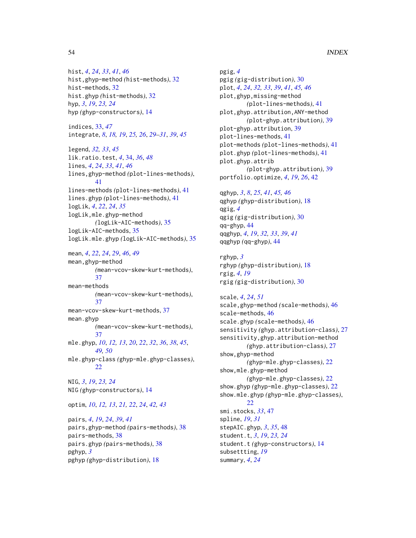hist, *[4](#page-3-0)*, *[24](#page-23-0)*, *[33](#page-32-0)*, *[41](#page-40-0)*, *[46](#page-45-0)* hist,ghyp-method *(*hist-methods*)*, [32](#page-31-0) hist-methods, [32](#page-31-0) hist.ghyp *(*hist-methods*)*, [32](#page-31-0) hyp, *[3](#page-2-0)*, *[19](#page-18-0)*, *[23,](#page-22-0) [24](#page-23-0)* hyp *(*ghyp-constructors*)*, [14](#page-13-0)

indices, [33,](#page-32-0) *[47](#page-46-0)* integrate, *[8](#page-7-0)*, *[18,](#page-17-0) [19](#page-18-0)*, *[25,](#page-24-0) [26](#page-25-0)*, *[29–](#page-28-0)[31](#page-30-0)*, *[39](#page-38-0)*, *[45](#page-44-0)*

legend, *[32,](#page-31-0) [33](#page-32-0)*, *[45](#page-44-0)* lik.ratio.test, *[4](#page-3-0)*, [34,](#page-33-0) *[36](#page-35-0)*, *[48](#page-47-0)* lines, *[4](#page-3-0)*, *[24](#page-23-0)*, *[33](#page-32-0)*, *[41](#page-40-0)*, *[46](#page-45-0)* lines,ghyp-method *(*plot-lines-methods*)*, [41](#page-40-0) lines-methods *(*plot-lines-methods*)*, [41](#page-40-0) lines.ghyp *(*plot-lines-methods*)*, [41](#page-40-0) logLik, *[4](#page-3-0)*, *[22](#page-21-0)*, *[24](#page-23-0)*, *[35](#page-34-0)* logLik,mle.ghyp-method *(*logLik-AIC-methods*)*, [35](#page-34-0) logLik-AIC-methods, [35](#page-34-0) logLik.mle.ghyp *(*logLik-AIC-methods*)*, [35](#page-34-0)

mean, *[4](#page-3-0)*, *[22](#page-21-0)*, *[24](#page-23-0)*, *[29](#page-28-0)*, *[46](#page-45-0)*, *[49](#page-48-0)* mean,ghyp-method *(*mean-vcov-skew-kurt-methods*)*, [37](#page-36-0) mean-methods *(*mean-vcov-skew-kurt-methods*)*, [37](#page-36-0) mean-vcov-skew-kurt-methods, [37](#page-36-0) mean.ghyp *(*mean-vcov-skew-kurt-methods*)*, [37](#page-36-0) mle.ghyp, *[10](#page-9-0)*, *[12,](#page-11-0) [13](#page-12-0)*, *[20](#page-19-0)*, *[22](#page-21-0)*, *[32](#page-31-0)*, *[36](#page-35-0)*, *[38](#page-37-0)*, *[45](#page-44-0)*, *[49,](#page-48-0) [50](#page-49-0)* mle.ghyp-class *(*ghyp-mle.ghyp-classes*)*, [22](#page-21-0) NIG, *[3](#page-2-0)*, *[19](#page-18-0)*, *[23,](#page-22-0) [24](#page-23-0)*

NIG *(*ghyp-constructors*)*, [14](#page-13-0)

optim, *[10](#page-9-0)*, *[12,](#page-11-0) [13](#page-12-0)*, *[21,](#page-20-0) [22](#page-21-0)*, *[24](#page-23-0)*, *[42,](#page-41-0) [43](#page-42-0)*

pairs, *[4](#page-3-0)*, *[19](#page-18-0)*, *[24](#page-23-0)*, *[39](#page-38-0)*, *[41](#page-40-0)* pairs,ghyp-method *(*pairs-methods*)*, [38](#page-37-0) pairs-methods, [38](#page-37-0) pairs.ghyp *(*pairs-methods*)*, [38](#page-37-0) pghyp, *[3](#page-2-0)* pghyp *(*ghyp-distribution*)*, [18](#page-17-0)

pgig, *[4](#page-3-0)* pgig *(*gig-distribution*)*, [30](#page-29-0) plot, *[4](#page-3-0)*, *[24](#page-23-0)*, *[32,](#page-31-0) [33](#page-32-0)*, *[39](#page-38-0)*, *[41](#page-40-0)*, *[45,](#page-44-0) [46](#page-45-0)* plot,ghyp,missing-method *(*plot-lines-methods*)*, [41](#page-40-0) plot,ghyp.attribution,ANY-method *(*plot-ghyp.attribution*)*, [39](#page-38-0) plot-ghyp.attribution, [39](#page-38-0) plot-lines-methods, [41](#page-40-0) plot-methods *(*plot-lines-methods*)*, [41](#page-40-0) plot.ghyp *(*plot-lines-methods*)*, [41](#page-40-0) plot.ghyp.attrib *(*plot-ghyp.attribution*)*, [39](#page-38-0) portfolio.optimize, *[4](#page-3-0)*, *[19](#page-18-0)*, *[26](#page-25-0)*, [42](#page-41-0)

qghyp, *[3](#page-2-0)*, *[8](#page-7-0)*, *[25](#page-24-0)*, *[41](#page-40-0)*, *[45,](#page-44-0) [46](#page-45-0)* qghyp *(*ghyp-distribution*)*, [18](#page-17-0) qgig, *[4](#page-3-0)* qgig *(*gig-distribution*)*, [30](#page-29-0) qq-ghyp, [44](#page-43-0) qqghyp, *[4](#page-3-0)*, *[19](#page-18-0)*, *[32,](#page-31-0) [33](#page-32-0)*, *[39](#page-38-0)*, *[41](#page-40-0)* qqghyp *(*qq-ghyp*)*, [44](#page-43-0)

rghyp, *[3](#page-2-0)* rghyp *(*ghyp-distribution*)*, [18](#page-17-0) rgig, *[4](#page-3-0)*, *[19](#page-18-0)* rgig *(*gig-distribution*)*, [30](#page-29-0)

scale, *[4](#page-3-0)*, *[24](#page-23-0)*, *[51](#page-50-0)* scale,ghyp-method *(*scale-methods*)*, [46](#page-45-0) scale-methods, [46](#page-45-0) scale.ghyp *(*scale-methods*)*, [46](#page-45-0) sensitivity *(*ghyp.attribution-class*)*, [27](#page-26-0) sensitivity,ghyp.attribution-method *(*ghyp.attribution-class*)*, [27](#page-26-0) show,ghyp-method *(*ghyp-mle.ghyp-classes*)*, [22](#page-21-0) show,mle.ghyp-method *(*ghyp-mle.ghyp-classes*)*, [22](#page-21-0) show.ghyp *(*ghyp-mle.ghyp-classes*)*, [22](#page-21-0) show.mle.ghyp *(*ghyp-mle.ghyp-classes*)*, [22](#page-21-0) smi.stocks, *[33](#page-32-0)*, [47](#page-46-0) spline, *[19](#page-18-0)*, *[31](#page-30-0)* stepAIC.ghyp, *[3](#page-2-0)*, *[35](#page-34-0)*, [48](#page-47-0) student.t, *[3](#page-2-0)*, *[19](#page-18-0)*, *[23,](#page-22-0) [24](#page-23-0)* student.t *(*ghyp-constructors*)*, [14](#page-13-0) subsettting, *[19](#page-18-0)* summary, *[4](#page-3-0)*, *[24](#page-23-0)*